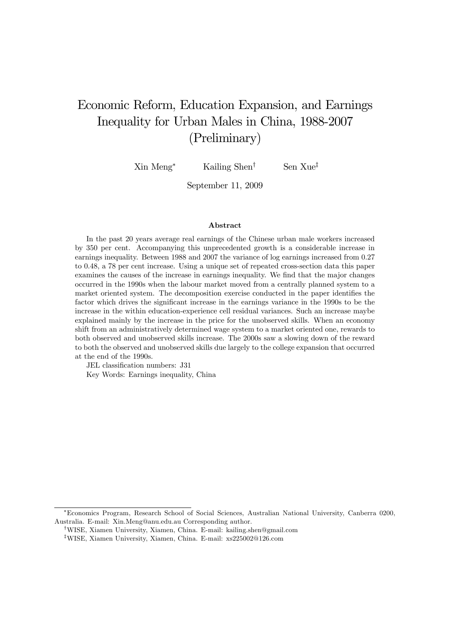# Economic Reform, Education Expansion, and Earnings Inequality for Urban Males in China, 1988-2007 (Preliminary)

Xin Meng<sup>∗</sup> Kailing Shen† Sen Xue‡

September 11, 2009

#### Abstract

In the past 20 years average real earnings of the Chinese urban male workers increased by 350 per cent. Accompanying this unprecedented growth is a considerable increase in earnings inequality. Between 1988 and 2007 the variance of log earnings increased from 0.27 to 0.48, a 78 per cent increase. Using a unique set of repeated cross-section data this paper examines the causes of the increase in earnings inequality. We find that the major changes occurred in the 1990s when the labour market moved from a centrally planned system to a market oriented system. The decomposition exercise conducted in the paper identifies the factor which drives the significant increase in the earnings variance in the 1990s to be the increase in the within education-experience cell residual variances. Such an increase maybe explained mainly by the increase in the price for the unobserved skills. When an economy shift from an administratively determined wage system to a market oriented one, rewards to both observed and unobserved skills increase. The 2000s saw a slowing down of the reward to both the observed and unobserved skills due largely to the college expansion that occurred at the end of the 1990s.

JEL classification numbers: J31

Key Words: Earnings inequality, China

<sup>∗</sup>Economics Program, Research School of Social Sciences, Australian National University, Canberra 0200, Australia. E-mail: Xin.Meng@anu.edu.au Corresponding author.

<sup>†</sup>WISE, Xiamen University, Xiamen, China. E-mail: kailing.shen@gmail.com

<sup>‡</sup>WISE, Xiamen University, Xiamen, China. E-mail: xs225002@126.com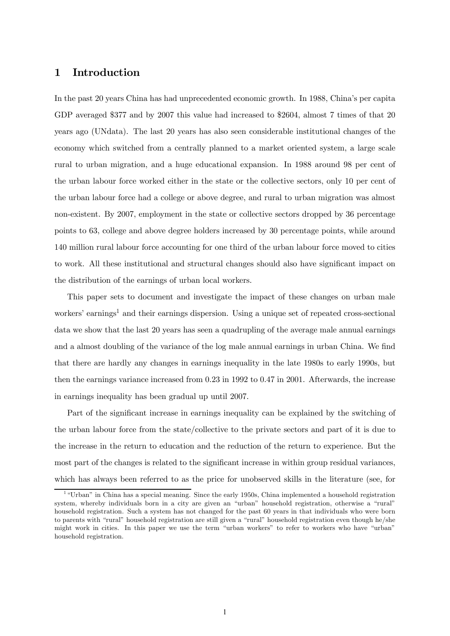# 1 Introduction

In the past 20 years China has had unprecedented economic growth. In 1988, China's per capita GDP averaged \$377 and by 2007 this value had increased to \$2604, almost 7 times of that 20 years ago (UNdata). The last 20 years has also seen considerable institutional changes of the economy which switched from a centrally planned to a market oriented system, a large scale rural to urban migration, and a huge educational expansion. In 1988 around 98 per cent of the urban labour force worked either in the state or the collective sectors, only 10 per cent of the urban labour force had a college or above degree, and rural to urban migration was almost non-existent. By 2007, employment in the state or collective sectors dropped by 36 percentage points to 63, college and above degree holders increased by 30 percentage points, while around 140 million rural labour force accounting for one third of the urban labour force moved to cities to work. All these institutional and structural changes should also have significant impact on the distribution of the earnings of urban local workers.

This paper sets to document and investigate the impact of these changes on urban male workers' earnings<sup>1</sup> and their earnings dispersion. Using a unique set of repeated cross-sectional data we show that the last 20 years has seen a quadrupling of the average male annual earnings and a almost doubling of the variance of the log male annual earnings in urban China. We find that there are hardly any changes in earnings inequality in the late 1980s to early 1990s, but then the earnings variance increased from 0.23 in 1992 to 0.47 in 2001. Afterwards, the increase in earnings inequality has been gradual up until 2007.

Part of the significant increase in earnings inequality can be explained by the switching of the urban labour force from the state/collective to the private sectors and part of it is due to the increase in the return to education and the reduction of the return to experience. But the most part of the changes is related to the significant increase in within group residual variances, which has always been referred to as the price for unobserved skills in the literature (see, for

<sup>&</sup>lt;sup>1</sup> "Urban" in China has a special meaning. Since the early 1950s, China implemented a household registration system, whereby individuals born in a city are given an "urban" household registration, otherwise a "rural" household registration. Such a system has not changed for the past 60 years in that individuals who were born to parents with "rural" household registration are still given a "rural" household registration even though he/she might work in cities. In this paper we use the term "urban workers" to refer to workers who have "urban" household registration.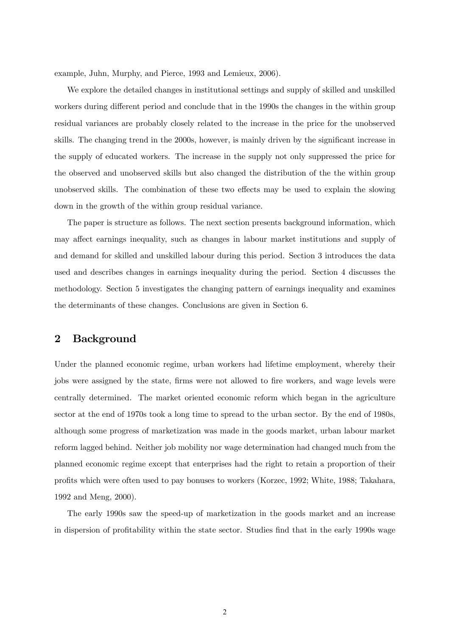example, Juhn, Murphy, and Pierce, 1993 and Lemieux, 2006).

We explore the detailed changes in institutional settings and supply of skilled and unskilled workers during different period and conclude that in the 1990s the changes in the within group residual variances are probably closely related to the increase in the price for the unobserved skills. The changing trend in the 2000s, however, is mainly driven by the significant increase in the supply of educated workers. The increase in the supply not only suppressed the price for the observed and unobserved skills but also changed the distribution of the the within group unobserved skills. The combination of these two effects may be used to explain the slowing down in the growth of the within group residual variance.

The paper is structure as follows. The next section presents background information, which may affect earnings inequality, such as changes in labour market institutions and supply of and demand for skilled and unskilled labour during this period. Section 3 introduces the data used and describes changes in earnings inequality during the period. Section 4 discusses the methodology. Section 5 investigates the changing pattern of earnings inequality and examines the determinants of these changes. Conclusions are given in Section 6.

### 2 Background

Under the planned economic regime, urban workers had lifetime employment, whereby their jobs were assigned by the state, firms were not allowed to fire workers, and wage levels were centrally determined. The market oriented economic reform which began in the agriculture sector at the end of 1970s took a long time to spread to the urban sector. By the end of 1980s, although some progress of marketization was made in the goods market, urban labour market reform lagged behind. Neither job mobility nor wage determination had changed much from the planned economic regime except that enterprises had the right to retain a proportion of their profits which were often used to pay bonuses to workers (Korzec, 1992; White, 1988; Takahara, 1992 and Meng, 2000).

The early 1990s saw the speed-up of marketization in the goods market and an increase in dispersion of profitability within the state sector. Studies find that in the early 1990s wage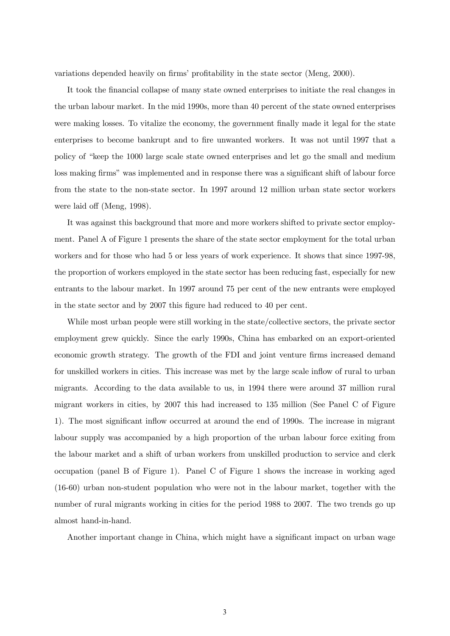variations depended heavily on firms' profitability in the state sector (Meng, 2000).

It took the financial collapse of many state owned enterprises to initiate the real changes in the urban labour market. In the mid 1990s, more than 40 percent of the state owned enterprises were making losses. To vitalize the economy, the government finally made it legal for the state enterprises to become bankrupt and to fire unwanted workers. It was not until 1997 that a policy of "keep the 1000 large scale state owned enterprises and let go the small and medium loss making firms" was implemented and in response there was a significant shift of labour force from the state to the non-state sector. In 1997 around 12 million urban state sector workers were laid off (Meng, 1998).

It was against this background that more and more workers shifted to private sector employment. Panel A of Figure 1 presents the share of the state sector employment for the total urban workers and for those who had 5 or less years of work experience. It shows that since 1997-98, the proportion of workers employed in the state sector has been reducing fast, especially for new entrants to the labour market. In 1997 around 75 per cent of the new entrants were employed in the state sector and by 2007 this figure had reduced to 40 per cent.

While most urban people were still working in the state/collective sectors, the private sector employment grew quickly. Since the early 1990s, China has embarked on an export-oriented economic growth strategy. The growth of the FDI and joint venture firms increased demand for unskilled workers in cities. This increase was met by the large scale inflow of rural to urban migrants. According to the data available to us, in 1994 there were around 37 million rural migrant workers in cities, by 2007 this had increased to 135 million (See Panel C of Figure 1). The most significant inflow occurred at around the end of 1990s. The increase in migrant labour supply was accompanied by a high proportion of the urban labour force exiting from the labour market and a shift of urban workers from unskilled production to service and clerk occupation (panel B of Figure 1). Panel C of Figure 1 shows the increase in working aged (16-60) urban non-student population who were not in the labour market, together with the number of rural migrants working in cities for the period 1988 to 2007. The two trends go up almost hand-in-hand.

Another important change in China, which might have a significant impact on urban wage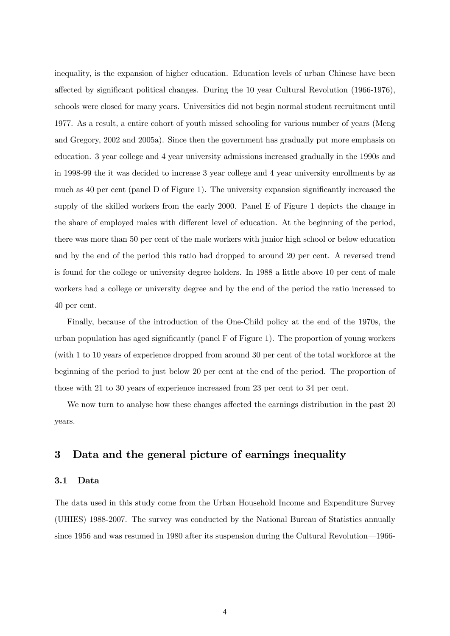inequality, is the expansion of higher education. Education levels of urban Chinese have been affected by significant political changes. During the 10 year Cultural Revolution (1966-1976), schools were closed for many years. Universities did not begin normal student recruitment until 1977. As a result, a entire cohort of youth missed schooling for various number of years (Meng and Gregory, 2002 and 2005a). Since then the government has gradually put more emphasis on education. 3 year college and 4 year university admissions increased gradually in the 1990s and in 1998-99 the it was decided to increase 3 year college and 4 year university enrollments by as much as 40 per cent (panel D of Figure 1). The university expansion significantly increased the supply of the skilled workers from the early 2000. Panel E of Figure 1 depicts the change in the share of employed males with different level of education. At the beginning of the period, there was more than 50 per cent of the male workers with junior high school or below education and by the end of the period this ratio had dropped to around 20 per cent. A reversed trend is found for the college or university degree holders. In 1988 a little above 10 per cent of male workers had a college or university degree and by the end of the period the ratio increased to 40 per cent.

Finally, because of the introduction of the One-Child policy at the end of the 1970s, the urban population has aged significantly (panel F of Figure 1). The proportion of young workers (with 1 to 10 years of experience dropped from around 30 per cent of the total workforce at the beginning of the period to just below 20 per cent at the end of the period. The proportion of those with 21 to 30 years of experience increased from 23 per cent to 34 per cent.

We now turn to analyse how these changes affected the earnings distribution in the past 20 years.

# 3 Data and the general picture of earnings inequality

#### 3.1 Data

The data used in this study come from the Urban Household Income and Expenditure Survey (UHIES) 1988-2007. The survey was conducted by the National Bureau of Statistics annually since 1956 and was resumed in 1980 after its suspension during the Cultural Revolution–1966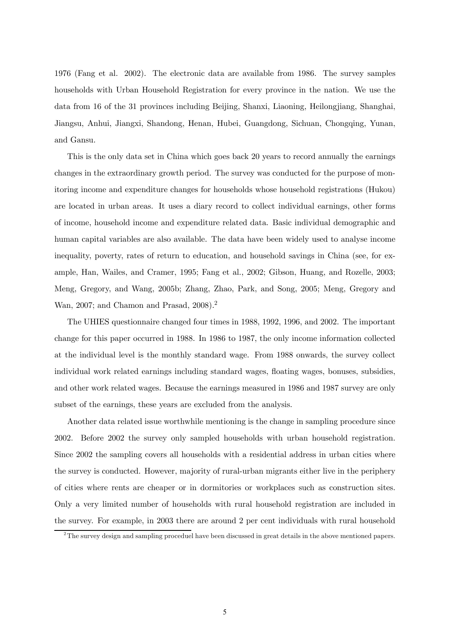1976 (Fang et al. 2002). The electronic data are available from 1986. The survey samples households with Urban Household Registration for every province in the nation. We use the data from 16 of the 31 provinces including Beijing, Shanxi, Liaoning, Heilongjiang, Shanghai, Jiangsu, Anhui, Jiangxi, Shandong, Henan, Hubei, Guangdong, Sichuan, Chongqing, Yunan, and Gansu.

This is the only data set in China which goes back 20 years to record annually the earnings changes in the extraordinary growth period. The survey was conducted for the purpose of monitoring income and expenditure changes for households whose household registrations (Hukou) are located in urban areas. It uses a diary record to collect individual earnings, other forms of income, household income and expenditure related data. Basic individual demographic and human capital variables are also available. The data have been widely used to analyse income inequality, poverty, rates of return to education, and household savings in China (see, for example, Han, Wailes, and Cramer, 1995; Fang et al., 2002; Gibson, Huang, and Rozelle, 2003; Meng, Gregory, and Wang, 2005b; Zhang, Zhao, Park, and Song, 2005; Meng, Gregory and Wan, 2007; and Chamon and Prasad, 2008).<sup>2</sup>

The UHIES questionnaire changed four times in 1988, 1992, 1996, and 2002. The important change for this paper occurred in 1988. In 1986 to 1987, the only income information collected at the individual level is the monthly standard wage. From 1988 onwards, the survey collect individual work related earnings including standard wages, floating wages, bonuses, subsidies, and other work related wages. Because the earnings measured in 1986 and 1987 survey are only subset of the earnings, these years are excluded from the analysis.

Another data related issue worthwhile mentioning is the change in sampling procedure since 2002. Before 2002 the survey only sampled households with urban household registration. Since 2002 the sampling covers all households with a residential address in urban cities where the survey is conducted. However, majority of rural-urban migrants either live in the periphery of cities where rents are cheaper or in dormitories or workplaces such as construction sites. Only a very limited number of households with rural household registration are included in the survey. For example, in 2003 there are around 2 per cent individuals with rural household

<sup>&</sup>lt;sup>2</sup>The survey design and sampling proceduel have been discussed in great details in the above mentioned papers.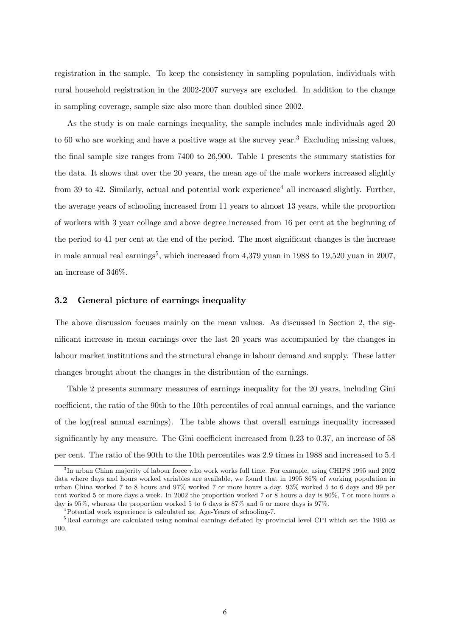registration in the sample. To keep the consistency in sampling population, individuals with rural household registration in the 2002-2007 surveys are excluded. In addition to the change in sampling coverage, sample size also more than doubled since 2002.

As the study is on male earnings inequality, the sample includes male individuals aged 20 to 60 who are working and have a positive wage at the survey year.<sup>3</sup> Excluding missing values, the final sample size ranges from 7400 to 26,900. Table 1 presents the summary statistics for the data. It shows that over the 20 years, the mean age of the male workers increased slightly from 39 to 42. Similarly, actual and potential work experience<sup>4</sup> all increased slightly. Further, the average years of schooling increased from 11 years to almost 13 years, while the proportion of workers with 3 year collage and above degree increased from 16 per cent at the beginning of the period to 41 per cent at the end of the period. The most significant changes is the increase in male annual real earnings<sup>5</sup>, which increased from  $4.379$  yuan in 1988 to 19,520 yuan in 2007, an increase of 346%.

#### 3.2 General picture of earnings inequality

The above discussion focuses mainly on the mean values. As discussed in Section 2, the significant increase in mean earnings over the last 20 years was accompanied by the changes in labour market institutions and the structural change in labour demand and supply. These latter changes brought about the changes in the distribution of the earnings.

Table 2 presents summary measures of earnings inequality for the 20 years, including Gini coefficient, the ratio of the 90th to the 10th percentiles of real annual earnings, and the variance of the log(real annual earnings). The table shows that overall earnings inequality increased significantly by any measure. The Gini coefficient increased from 0.23 to 0.37, an increase of 58 per cent. The ratio of the 90th to the 10th percentiles was 2.9 times in 1988 and increased to 5.4

<sup>&</sup>lt;sup>3</sup>In urban China majority of labour force who work works full time. For example, using CHIPS 1995 and 2002 data where days and hours worked variables are available, we found that in 1995 86% of working population in urban China worked 7 to 8 hours and 97% worked 7 or more hours a day. 93% worked 5 to 6 days and 99 per cent worked 5 or more days a week. In 2002 the proportion worked 7 or 8 hours a day is 80%, 7 or more hours a day is 95%, whereas the proportion worked 5 to 6 days is 87% and 5 or more days is 97%.

<sup>4</sup>Potential work experience is calculated as: Age-Years of schooling-7.

<sup>&</sup>lt;sup>5</sup>Real earnings are calculated using nominal earnings deflated by provincial level CPI which set the 1995 as 100.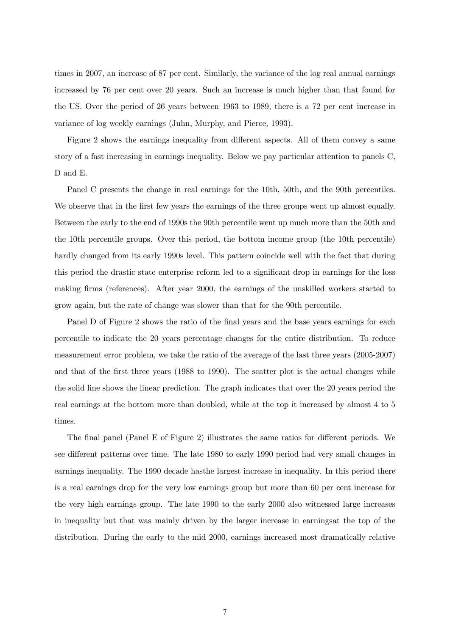times in 2007, an increase of 87 per cent. Similarly, the variance of the log real annual earnings increased by 76 per cent over 20 years. Such an increase is much higher than that found for the US. Over the period of 26 years between 1963 to 1989, there is a 72 per cent increase in variance of log weekly earnings (Juhn, Murphy, and Pierce, 1993).

Figure 2 shows the earnings inequality from different aspects. All of them convey a same story of a fast increasing in earnings inequality. Below we pay particular attention to panels C, D and E.

Panel C presents the change in real earnings for the 10th, 50th, and the 90th percentiles. We observe that in the first few years the earnings of the three groups went up almost equally. Between the early to the end of 1990s the 90th percentile went up much more than the 50th and the 10th percentile groups. Over this period, the bottom income group (the 10th percentile) hardly changed from its early 1990s level. This pattern coincide well with the fact that during this period the drastic state enterprise reform led to a significant drop in earnings for the loss making firms (references). After year 2000, the earnings of the unskilled workers started to grow again, but the rate of change was slower than that for the 90th percentile.

Panel D of Figure 2 shows the ratio of the final years and the base years earnings for each percentile to indicate the 20 years percentage changes for the entire distribution. To reduce measurement error problem, we take the ratio of the average of the last three years (2005-2007) and that of the first three years (1988 to 1990). The scatter plot is the actual changes while the solid line shows the linear prediction. The graph indicates that over the 20 years period the real earnings at the bottom more than doubled, while at the top it increased by almost 4 to 5 times.

The final panel (Panel E of Figure 2) illustrates the same ratios for different periods. We see different patterns over time. The late 1980 to early 1990 period had very small changes in earnings inequality. The 1990 decade hasthe largest increase in inequality. In this period there is a real earnings drop for the very low earnings group but more than 60 per cent increase for the very high earnings group. The late 1990 to the early 2000 also witnessed large increases in inequality but that was mainly driven by the larger increase in earningsat the top of the distribution. During the early to the mid 2000, earnings increased most dramatically relative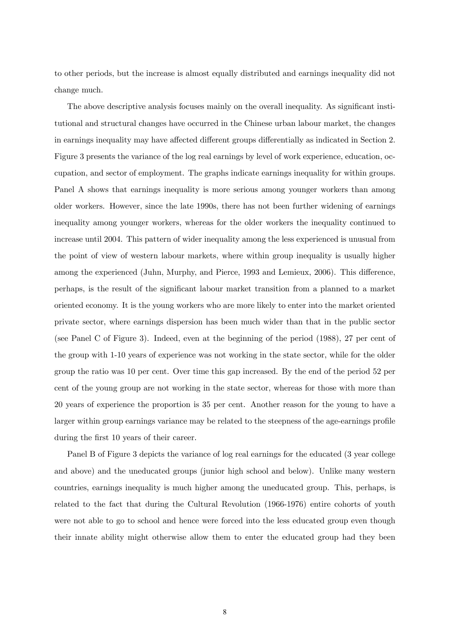to other periods, but the increase is almost equally distributed and earnings inequality did not change much.

The above descriptive analysis focuses mainly on the overall inequality. As significant institutional and structural changes have occurred in the Chinese urban labour market, the changes in earnings inequality may have affected different groups differentially as indicated in Section 2. Figure 3 presents the variance of the log real earnings by level of work experience, education, occupation, and sector of employment. The graphs indicate earnings inequality for within groups. Panel A shows that earnings inequality is more serious among younger workers than among older workers. However, since the late 1990s, there has not been further widening of earnings inequality among younger workers, whereas for the older workers the inequality continued to increase until 2004. This pattern of wider inequality among the less experienced is unusual from the point of view of western labour markets, where within group inequality is usually higher among the experienced (Juhn, Murphy, and Pierce, 1993 and Lemieux, 2006). This difference, perhaps, is the result of the significant labour market transition from a planned to a market oriented economy. It is the young workers who are more likely to enter into the market oriented private sector, where earnings dispersion has been much wider than that in the public sector (see Panel C of Figure 3). Indeed, even at the beginning of the period (1988), 27 per cent of the group with 1-10 years of experience was not working in the state sector, while for the older group the ratio was 10 per cent. Over time this gap increased. By the end of the period 52 per cent of the young group are not working in the state sector, whereas for those with more than 20 years of experience the proportion is 35 per cent. Another reason for the young to have a larger within group earnings variance may be related to the steepness of the age-earnings profile during the first 10 years of their career.

Panel B of Figure 3 depicts the variance of log real earnings for the educated (3 year college and above) and the uneducated groups (junior high school and below). Unlike many western countries, earnings inequality is much higher among the uneducated group. This, perhaps, is related to the fact that during the Cultural Revolution (1966-1976) entire cohorts of youth were not able to go to school and hence were forced into the less educated group even though their innate ability might otherwise allow them to enter the educated group had they been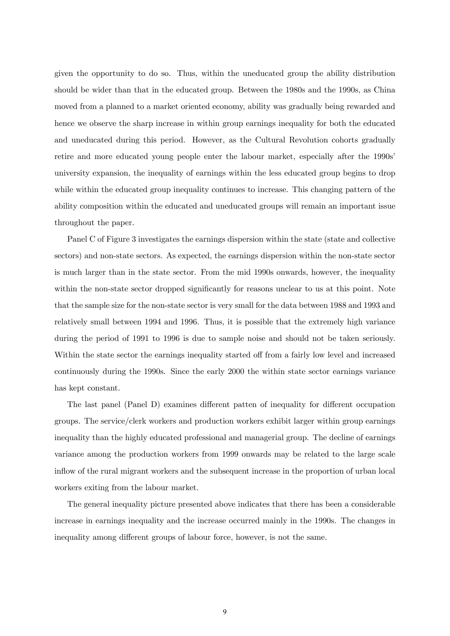given the opportunity to do so. Thus, within the uneducated group the ability distribution should be wider than that in the educated group. Between the 1980s and the 1990s, as China moved from a planned to a market oriented economy, ability was gradually being rewarded and hence we observe the sharp increase in within group earnings inequality for both the educated and uneducated during this period. However, as the Cultural Revolution cohorts gradually retire and more educated young people enter the labour market, especially after the 1990s' university expansion, the inequality of earnings within the less educated group begins to drop while within the educated group inequality continues to increase. This changing pattern of the ability composition within the educated and uneducated groups will remain an important issue throughout the paper.

Panel C of Figure 3 investigates the earnings dispersion within the state (state and collective sectors) and non-state sectors. As expected, the earnings dispersion within the non-state sector is much larger than in the state sector. From the mid 1990s onwards, however, the inequality within the non-state sector dropped significantly for reasons unclear to us at this point. Note that the sample size for the non-state sector is very small for the data between 1988 and 1993 and relatively small between 1994 and 1996. Thus, it is possible that the extremely high variance during the period of 1991 to 1996 is due to sample noise and should not be taken seriously. Within the state sector the earnings inequality started off from a fairly low level and increased continuously during the 1990s. Since the early 2000 the within state sector earnings variance has kept constant.

The last panel (Panel D) examines different patten of inequality for different occupation groups. The service/clerk workers and production workers exhibit larger within group earnings inequality than the highly educated professional and managerial group. The decline of earnings variance among the production workers from 1999 onwards may be related to the large scale inflow of the rural migrant workers and the subsequent increase in the proportion of urban local workers exiting from the labour market.

The general inequality picture presented above indicates that there has been a considerable increase in earnings inequality and the increase occurred mainly in the 1990s. The changes in inequality among different groups of labour force, however, is not the same.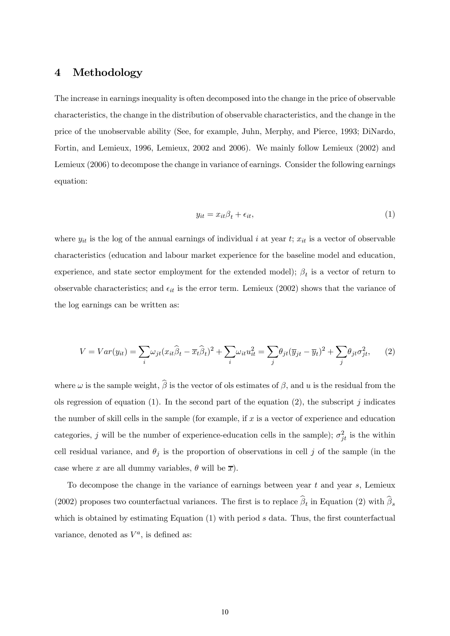## 4 Methodology

The increase in earnings inequality is often decomposed into the change in the price of observable characteristics, the change in the distribution of observable characteristics, and the change in the price of the unobservable ability (See, for example, Juhn, Merphy, and Pierce, 1993; DiNardo, Fortin, and Lemieux, 1996, Lemieux, 2002 and 2006). We mainly follow Lemieux (2002) and Lemieux (2006) to decompose the change in variance of earnings. Consider the following earnings equation:

$$
y_{it} = x_{it}\beta_t + \epsilon_{it},\tag{1}
$$

where  $y_{it}$  is the log of the annual earnings of individual i at year t;  $x_{it}$  is a vector of observable characteristics (education and labour market experience for the baseline model and education, experience, and state sector employment for the extended model);  $\beta_t$  is a vector of return to observable characteristics; and  $\epsilon_{it}$  is the error term. Lemieux (2002) shows that the variance of the log earnings can be written as:

$$
V = Var(y_{it}) = \sum_{i} \omega_{jt} (x_{it}\hat{\beta}_t - \overline{x}_t\hat{\beta}_t)^2 + \sum_{i} \omega_{it} u_{it}^2 = \sum_{j} \theta_{jt} (\overline{y}_{jt} - \overline{y}_t)^2 + \sum_{j} \theta_{jt} \sigma_{jt}^2, \qquad (2)
$$

where  $\omega$  is the sample weight,  $\widehat{\beta}$  is the vector of ols estimates of  $\beta$ , and u is the residual from the ols regression of equation (1). In the second part of the equation (2), the subscript j indicates the number of skill cells in the sample (for example, if  $x$  is a vector of experience and education categories, j will be the number of experience-education cells in the sample);  $\sigma_{jt}^2$  is the within cell residual variance, and  $\theta_j$  is the proportion of observations in cell j of the sample (in the case where x are all dummy variables,  $\theta$  will be  $\overline{x}$ ).

To decompose the change in the variance of earnings between year  $t$  and year  $s$ , Lemieux (2002) proposes two counterfactual variances. The first is to replace  $\hat{\beta}_t$  in Equation (2) with  $\hat{\beta}_s$ which is obtained by estimating Equation  $(1)$  with period s data. Thus, the first counterfactual variance, denoted as  $V^a$ , is defined as: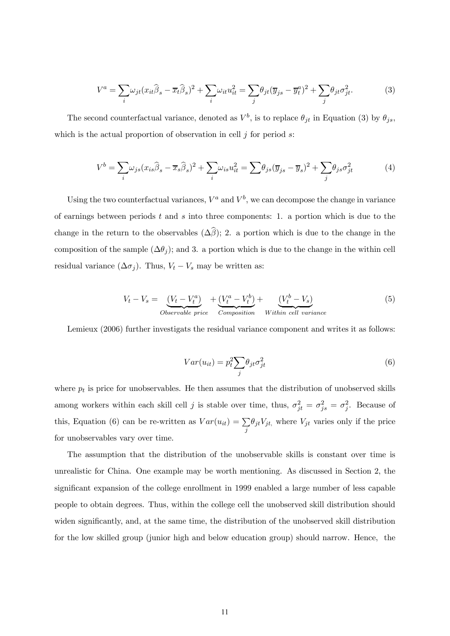$$
V^{a} = \sum_{i} \omega_{jt} (x_{it}\widehat{\beta}_{s} - \overline{x}_{t}\widehat{\beta}_{s})^{2} + \sum_{i} \omega_{it} u_{it}^{2} = \sum_{j} \theta_{jt} (\overline{y}_{js} - \overline{y}_{t}^{a})^{2} + \sum_{j} \theta_{jt} \sigma_{jt}^{2}.
$$
 (3)

The second counterfactual variance, denoted as  $V^b$ , is to replace  $\theta_{jt}$  in Equation (3) by  $\theta_{js}$ , which is the actual proportion of observation in cell  $j$  for period  $s$ :

$$
V^{b} = \sum_{i} \omega_{js} (x_{is}\widehat{\beta}_{s} - \overline{x}_{s}\widehat{\beta}_{s})^{2} + \sum_{i} \omega_{is} u_{it}^{2} = \sum \theta_{js} (\overline{y}_{js} - \overline{y}_{s})^{2} + \sum_{j} \theta_{js} \sigma_{jt}^{2}
$$
(4)

Using the two counterfactual variances,  $V^a$  and  $V^b$ , we can decompose the change in variance of earnings between periods  $t$  and  $s$  into three components: 1. a portion which is due to the change in the return to the observables  $(\Delta \widehat{\beta})$ ; 2. a portion which is due to the change in the composition of the sample  $(\Delta \theta_j)$ ; and 3. a portion which is due to the change in the within cell residual variance  $(\Delta \sigma_j)$ . Thus,  $V_t - V_s$  may be written as:

$$
V_t - V_s = \underbrace{(V_t - V_t^a)}_{Observeable\ price} + \underbrace{(V_t^a - V_t^b)}_{Composition} + \underbrace{(V_t^b - V_s)}_{Within\ cell\ variance}
$$
\n
$$
(5)
$$

Lemieux (2006) further investigats the residual variance component and writes it as follows:

$$
Var(u_{it}) = p_t^2 \sum_j \theta_{jt} \sigma_{jt}^2
$$
\n(6)

where  $p_t$  is price for unobservables. He then assumes that the distribution of unobserved skills among workers within each skill cell j is stable over time, thus,  $\sigma_{jt}^2 = \sigma_{js}^2 = \sigma_j^2$ . Because of this, Equation (6) can be re-written as  $Var(u_{it}) = \sum$ j  $\theta_{jt}V_{jt}$ , where  $V_{jt}$  varies only if the price for unobservables vary over time.

The assumption that the distribution of the unobservable skills is constant over time is unrealistic for China. One example may be worth mentioning. As discussed in Section 2, the significant expansion of the college enrollment in 1999 enabled a large number of less capable people to obtain degrees. Thus, within the college cell the unobserved skill distribution should widen significantly, and, at the same time, the distribution of the unobserved skill distribution for the low skilled group (junior high and below education group) should narrow. Hence, the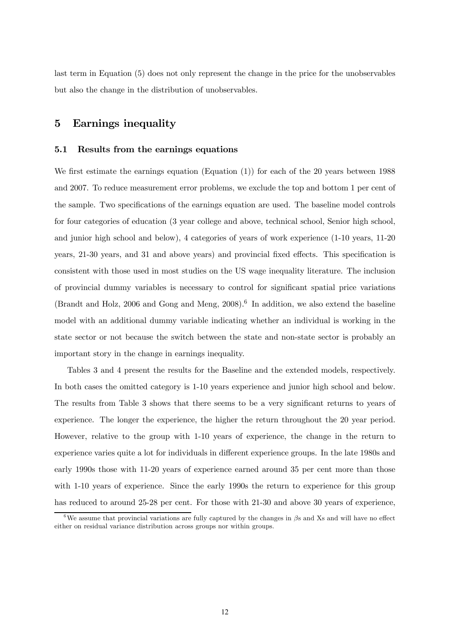last term in Equation (5) does not only represent the change in the price for the unobservables but also the change in the distribution of unobservables.

# 5 Earnings inequality

#### 5.1 Results from the earnings equations

We first estimate the earnings equation (Equation (1)) for each of the 20 years between 1988 and 2007. To reduce measurement error problems, we exclude the top and bottom 1 per cent of the sample. Two specifications of the earnings equation are used. The baseline model controls for four categories of education (3 year college and above, technical school, Senior high school, and junior high school and below), 4 categories of years of work experience (1-10 years, 11-20 years, 21-30 years, and 31 and above years) and provincial fixed effects. This specification is consistent with those used in most studies on the US wage inequality literature. The inclusion of provincial dummy variables is necessary to control for significant spatial price variations (Brandt and Holz, 2006 and Gong and Meng,  $2008$ ).<sup>6</sup> In addition, we also extend the baseline model with an additional dummy variable indicating whether an individual is working in the state sector or not because the switch between the state and non-state sector is probably an important story in the change in earnings inequality.

Tables 3 and 4 present the results for the Baseline and the extended models, respectively. In both cases the omitted category is 1-10 years experience and junior high school and below. The results from Table 3 shows that there seems to be a very significant returns to years of experience. The longer the experience, the higher the return throughout the 20 year period. However, relative to the group with 1-10 years of experience, the change in the return to experience varies quite a lot for individuals in different experience groups. In the late 1980s and early 1990s those with 11-20 years of experience earned around 35 per cent more than those with 1-10 years of experience. Since the early 1990s the return to experience for this group has reduced to around 25-28 per cent. For those with 21-30 and above 30 years of experience,

<sup>&</sup>lt;sup>6</sup>We assume that provincial variations are fully captured by the changes in  $\beta$ s and Xs and will have no effect either on residual variance distribution across groups nor within groups.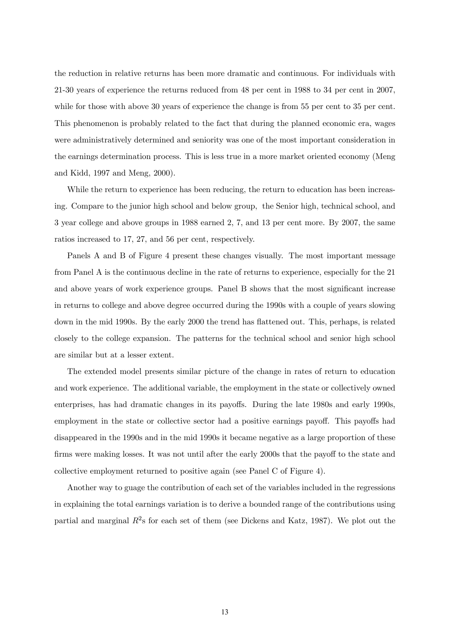the reduction in relative returns has been more dramatic and continuous. For individuals with 21-30 years of experience the returns reduced from 48 per cent in 1988 to 34 per cent in 2007, while for those with above 30 years of experience the change is from 55 per cent to 35 per cent. This phenomenon is probably related to the fact that during the planned economic era, wages were administratively determined and seniority was one of the most important consideration in the earnings determination process. This is less true in a more market oriented economy (Meng and Kidd, 1997 and Meng, 2000).

While the return to experience has been reducing, the return to education has been increasing. Compare to the junior high school and below group, the Senior high, technical school, and 3 year college and above groups in 1988 earned 2, 7, and 13 per cent more. By 2007, the same ratios increased to 17, 27, and 56 per cent, respectively.

Panels A and B of Figure 4 present these changes visually. The most important message from Panel A is the continuous decline in the rate of returns to experience, especially for the 21 and above years of work experience groups. Panel B shows that the most significant increase in returns to college and above degree occurred during the 1990s with a couple of years slowing down in the mid 1990s. By the early 2000 the trend has flattened out. This, perhaps, is related closely to the college expansion. The patterns for the technical school and senior high school are similar but at a lesser extent.

The extended model presents similar picture of the change in rates of return to education and work experience. The additional variable, the employment in the state or collectively owned enterprises, has had dramatic changes in its payoffs. During the late 1980s and early 1990s, employment in the state or collective sector had a positive earnings payoff. This payoffs had disappeared in the 1990s and in the mid 1990s it became negative as a large proportion of these firms were making losses. It was not until after the early 2000s that the payoff to the state and collective employment returned to positive again (see Panel C of Figure 4).

Another way to guage the contribution of each set of the variables included in the regressions in explaining the total earnings variation is to derive a bounded range of the contributions using partial and marginal  $R^2$ s for each set of them (see Dickens and Katz, 1987). We plot out the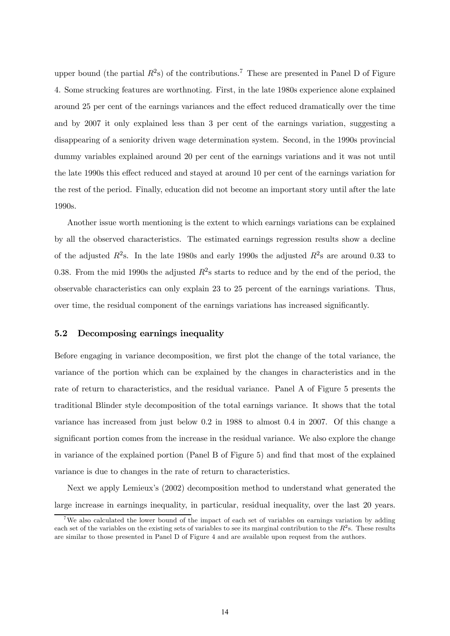upper bound (the partial  $R^2$ s) of the contributions.<sup>7</sup> These are presented in Panel D of Figure 4. Some strucking features are worthnoting. First, in the late 1980s experience alone explained around 25 per cent of the earnings variances and the effect reduced dramatically over the time and by 2007 it only explained less than 3 per cent of the earnings variation, suggesting a disappearing of a seniority driven wage determination system. Second, in the 1990s provincial dummy variables explained around 20 per cent of the earnings variations and it was not until the late 1990s this effect reduced and stayed at around 10 per cent of the earnings variation for the rest of the period. Finally, education did not become an important story until after the late 1990s.

Another issue worth mentioning is the extent to which earnings variations can be explained by all the observed characteristics. The estimated earnings regression results show a decline of the adjusted  $R^2$ s. In the late 1980s and early 1990s the adjusted  $R^2$ s are around 0.33 to 0.38. From the mid 1990s the adjusted  $R^2$ s starts to reduce and by the end of the period, the observable characteristics can only explain 23 to 25 percent of the earnings variations. Thus, over time, the residual component of the earnings variations has increased significantly.

#### 5.2 Decomposing earnings inequality

Before engaging in variance decomposition, we first plot the change of the total variance, the variance of the portion which can be explained by the changes in characteristics and in the rate of return to characteristics, and the residual variance. Panel A of Figure 5 presents the traditional Blinder style decomposition of the total earnings variance. It shows that the total variance has increased from just below 0.2 in 1988 to almost 0.4 in 2007. Of this change a significant portion comes from the increase in the residual variance. We also explore the change in variance of the explained portion (Panel B of Figure 5) and find that most of the explained variance is due to changes in the rate of return to characteristics.

Next we apply Lemieux's (2002) decomposition method to understand what generated the large increase in earnings inequality, in particular, residual inequality, over the last 20 years.

<sup>&</sup>lt;sup>7</sup>We also calculated the lower bound of the impact of each set of variables on earnings variation by adding each set of the variables on the existing sets of variables to see its marginal contribution to the  $R^2$ s. These results are similar to those presented in Panel D of Figure 4 and are available upon request from the authors.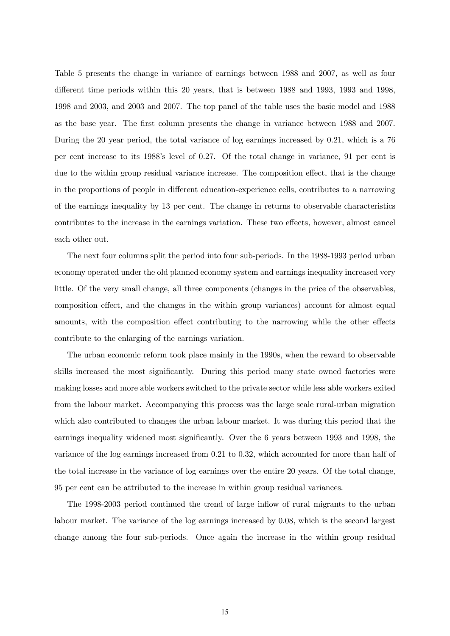Table 5 presents the change in variance of earnings between 1988 and 2007, as well as four different time periods within this 20 years, that is between 1988 and 1993, 1993 and 1998, 1998 and 2003, and 2003 and 2007. The top panel of the table uses the basic model and 1988 as the base year. The first column presents the change in variance between 1988 and 2007. During the 20 year period, the total variance of log earnings increased by 0.21, which is a 76 per cent increase to its 1988's level of 0.27. Of the total change in variance, 91 per cent is due to the within group residual variance increase. The composition effect, that is the change in the proportions of people in different education-experience cells, contributes to a narrowing of the earnings inequality by 13 per cent. The change in returns to observable characteristics contributes to the increase in the earnings variation. These two effects, however, almost cancel each other out.

The next four columns split the period into four sub-periods. In the 1988-1993 period urban economy operated under the old planned economy system and earnings inequality increased very little. Of the very small change, all three components (changes in the price of the observables, composition effect, and the changes in the within group variances) account for almost equal amounts, with the composition effect contributing to the narrowing while the other effects contribute to the enlarging of the earnings variation.

The urban economic reform took place mainly in the 1990s, when the reward to observable skills increased the most significantly. During this period many state owned factories were making losses and more able workers switched to the private sector while less able workers exited from the labour market. Accompanying this process was the large scale rural-urban migration which also contributed to changes the urban labour market. It was during this period that the earnings inequality widened most significantly. Over the 6 years between 1993 and 1998, the variance of the log earnings increased from 0.21 to 0.32, which accounted for more than half of the total increase in the variance of log earnings over the entire 20 years. Of the total change, 95 per cent can be attributed to the increase in within group residual variances.

The 1998-2003 period continued the trend of large inflow of rural migrants to the urban labour market. The variance of the log earnings increased by 0.08, which is the second largest change among the four sub-periods. Once again the increase in the within group residual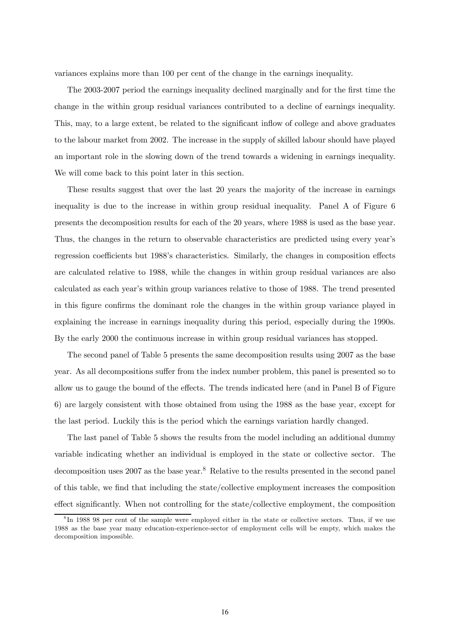variances explains more than 100 per cent of the change in the earnings inequality.

The 2003-2007 period the earnings inequality declined marginally and for the first time the change in the within group residual variances contributed to a decline of earnings inequality. This, may, to a large extent, be related to the significant inflow of college and above graduates to the labour market from 2002. The increase in the supply of skilled labour should have played an important role in the slowing down of the trend towards a widening in earnings inequality. We will come back to this point later in this section.

These results suggest that over the last 20 years the majority of the increase in earnings inequality is due to the increase in within group residual inequality. Panel A of Figure 6 presents the decomposition results for each of the 20 years, where 1988 is used as the base year. Thus, the changes in the return to observable characteristics are predicted using every year's regression coefficients but 1988's characteristics. Similarly, the changes in composition effects are calculated relative to 1988, while the changes in within group residual variances are also calculated as each year's within group variances relative to those of 1988. The trend presented in this figure confirms the dominant role the changes in the within group variance played in explaining the increase in earnings inequality during this period, especially during the 1990s. By the early 2000 the continuous increase in within group residual variances has stopped.

The second panel of Table 5 presents the same decomposition results using 2007 as the base year. As all decompositions suffer from the index number problem, this panel is presented so to allow us to gauge the bound of the effects. The trends indicated here (and in Panel B of Figure 6) are largely consistent with those obtained from using the 1988 as the base year, except for the last period. Luckily this is the period which the earnings variation hardly changed.

The last panel of Table 5 shows the results from the model including an additional dummy variable indicating whether an individual is employed in the state or collective sector. The decomposition uses 2007 as the base year.<sup>8</sup> Relative to the results presented in the second panel of this table, we find that including the state/collective employment increases the composition effect significantly. When not controlling for the state/collective employment, the composition

<sup>8</sup> In 1988 98 per cent of the sample were employed either in the state or collective sectors. Thus, if we use 1988 as the base year many education-experience-sector of employment cells will be empty, which makes the decomposition impossible.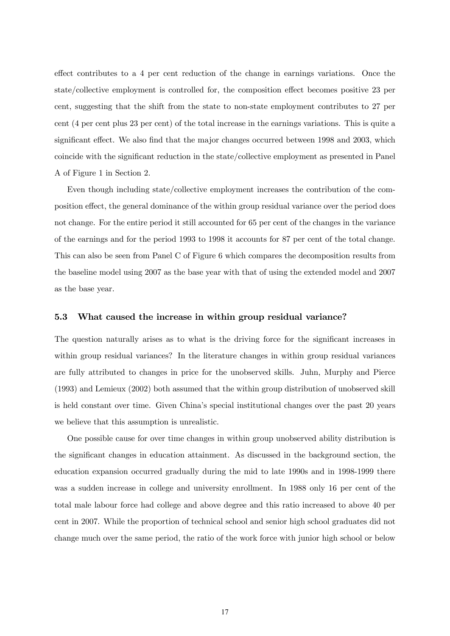effect contributes to a 4 per cent reduction of the change in earnings variations. Once the state/collective employment is controlled for, the composition effect becomes positive 23 per cent, suggesting that the shift from the state to non-state employment contributes to 27 per cent (4 per cent plus 23 per cent) of the total increase in the earnings variations. This is quite a significant effect. We also find that the major changes occurred between 1998 and 2003, which coincide with the significant reduction in the state/collective employment as presented in Panel A of Figure 1 in Section 2.

Even though including state/collective employment increases the contribution of the composition effect, the general dominance of the within group residual variance over the period does not change. For the entire period it still accounted for 65 per cent of the changes in the variance of the earnings and for the period 1993 to 1998 it accounts for 87 per cent of the total change. This can also be seen from Panel C of Figure 6 which compares the decomposition results from the baseline model using 2007 as the base year with that of using the extended model and 2007 as the base year.

#### 5.3 What caused the increase in within group residual variance?

The question naturally arises as to what is the driving force for the significant increases in within group residual variances? In the literature changes in within group residual variances are fully attributed to changes in price for the unobserved skills. Juhn, Murphy and Pierce (1993) and Lemieux (2002) both assumed that the within group distribution of unobserved skill is held constant over time. Given China's special institutional changes over the past 20 years we believe that this assumption is unrealistic.

One possible cause for over time changes in within group unobserved ability distribution is the significant changes in education attainment. As discussed in the background section, the education expansion occurred gradually during the mid to late 1990s and in 1998-1999 there was a sudden increase in college and university enrollment. In 1988 only 16 per cent of the total male labour force had college and above degree and this ratio increased to above 40 per cent in 2007. While the proportion of technical school and senior high school graduates did not change much over the same period, the ratio of the work force with junior high school or below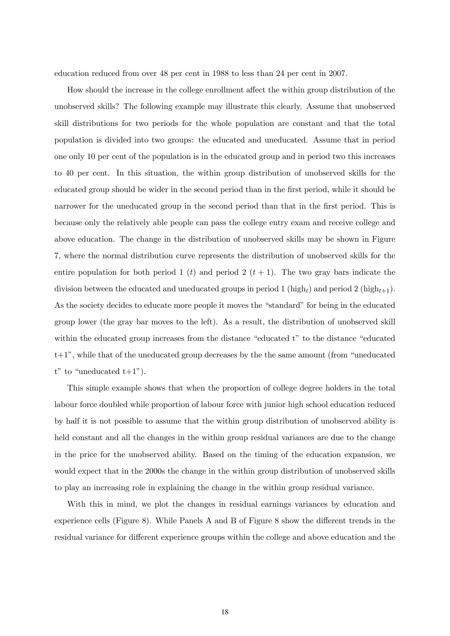education reduced from over 48 per cent in 1988 to less than 24 per cent in 2007.

How should the increase in the college enrollment affect the within group distribution of the unobserved skills? The following example may illustrate this clearly. Assume that unobserved skill distributions for two periods for the whole population are constant and that the total population is divided into two groups: the educated and uneducated. Assume that in period one only 10 per cent of the population is in the educated group and in period two this increases to 40 per cent. In this situation, the within group distribution of unobserved skills for the educated group should be wider in the second period than in the first period, while it should be narrower for the uneducated group in the second period than that in the first period. This is because only the relatively able people can pass the college entry exam and receive college and above education. The change in the distribution of unobserved skills may be shown in Figure 7, where the normal distribution curve represents the distribution of unobserved skills for the entire population for both period 1 (t) and period 2  $(t + 1)$ . The two gray bars indicate the division between the educated and uneducated groups in period 1 (high<sub>t</sub>) and period 2 (high<sub>t+1</sub>). As the society decides to educate more people it moves the "standard" for being in the educated group lower (the gray bar moves to the left). As a result, the distribution of unobserved skill within the educated group increases from the distance "educated t" to the distance "educated t+1", while that of the uneducated group decreases by the the same amount (from "uneducated  $t$ " to "uneducated  $t+1$ ").

This simple example shows that when the proportion of college degree holders in the total labour force doubled while proportion of labour force with junior high school education reduced by half it is not possible to assume that the within group distribution of unobserved ability is held constant and all the changes in the within group residual variances are due to the change in the price for the unobserved ability. Based on the timing of the education expansion, we would expect that in the 2000s the change in the within group distribution of unobserved skills to play an increasing role in explaining the change in the within group residual variance.

With this in mind, we plot the changes in residual earnings variances by education and experience cells (Figure 8). While Panels A and B of Figure 8 show the different trends in the residual variance for different experience groups within the college and above education and the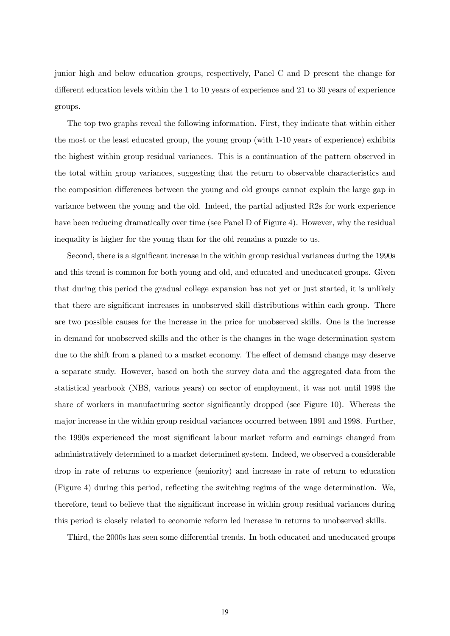junior high and below education groups, respectively, Panel C and D present the change for different education levels within the 1 to 10 years of experience and 21 to 30 years of experience groups.

The top two graphs reveal the following information. First, they indicate that within either the most or the least educated group, the young group (with 1-10 years of experience) exhibits the highest within group residual variances. This is a continuation of the pattern observed in the total within group variances, suggesting that the return to observable characteristics and the composition differences between the young and old groups cannot explain the large gap in variance between the young and the old. Indeed, the partial adjusted R2s for work experience have been reducing dramatically over time (see Panel D of Figure 4). However, why the residual inequality is higher for the young than for the old remains a puzzle to us.

Second, there is a significant increase in the within group residual variances during the 1990s and this trend is common for both young and old, and educated and uneducated groups. Given that during this period the gradual college expansion has not yet or just started, it is unlikely that there are significant increases in unobserved skill distributions within each group. There are two possible causes for the increase in the price for unobserved skills. One is the increase in demand for unobserved skills and the other is the changes in the wage determination system due to the shift from a planed to a market economy. The effect of demand change may deserve a separate study. However, based on both the survey data and the aggregated data from the statistical yearbook (NBS, various years) on sector of employment, it was not until 1998 the share of workers in manufacturing sector significantly dropped (see Figure 10). Whereas the major increase in the within group residual variances occurred between 1991 and 1998. Further, the 1990s experienced the most significant labour market reform and earnings changed from administratively determined to a market determined system. Indeed, we observed a considerable drop in rate of returns to experience (seniority) and increase in rate of return to education (Figure 4) during this period, reflecting the switching regims of the wage determination. We, therefore, tend to believe that the significant increase in within group residual variances during this period is closely related to economic reform led increase in returns to unobserved skills.

Third, the 2000s has seen some differential trends. In both educated and uneducated groups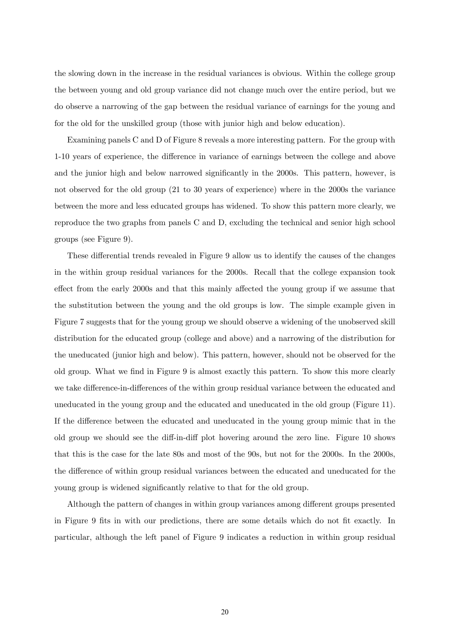the slowing down in the increase in the residual variances is obvious. Within the college group the between young and old group variance did not change much over the entire period, but we do observe a narrowing of the gap between the residual variance of earnings for the young and for the old for the unskilled group (those with junior high and below education).

Examining panels C and D of Figure 8 reveals a more interesting pattern. For the group with 1-10 years of experience, the difference in variance of earnings between the college and above and the junior high and below narrowed significantly in the 2000s. This pattern, however, is not observed for the old group (21 to 30 years of experience) where in the 2000s the variance between the more and less educated groups has widened. To show this pattern more clearly, we reproduce the two graphs from panels C and D, excluding the technical and senior high school groups (see Figure 9).

These differential trends revealed in Figure 9 allow us to identify the causes of the changes in the within group residual variances for the 2000s. Recall that the college expansion took effect from the early 2000s and that this mainly affected the young group if we assume that the substitution between the young and the old groups is low. The simple example given in Figure 7 suggests that for the young group we should observe a widening of the unobserved skill distribution for the educated group (college and above) and a narrowing of the distribution for the uneducated (junior high and below). This pattern, however, should not be observed for the old group. What we find in Figure 9 is almost exactly this pattern. To show this more clearly we take difference-in-differences of the within group residual variance between the educated and uneducated in the young group and the educated and uneducated in the old group (Figure 11). If the difference between the educated and uneducated in the young group mimic that in the old group we should see the diff-in-diff plot hovering around the zero line. Figure 10 shows that this is the case for the late 80s and most of the 90s, but not for the 2000s. In the 2000s, the difference of within group residual variances between the educated and uneducated for the young group is widened significantly relative to that for the old group.

Although the pattern of changes in within group variances among different groups presented in Figure 9 fits in with our predictions, there are some details which do not fit exactly. In particular, although the left panel of Figure 9 indicates a reduction in within group residual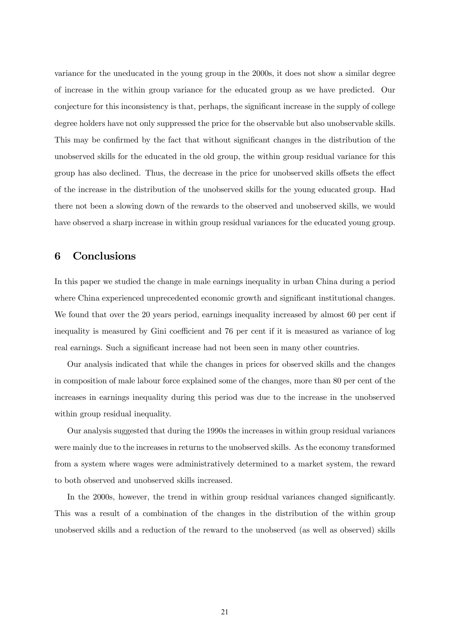variance for the uneducated in the young group in the 2000s, it does not show a similar degree of increase in the within group variance for the educated group as we have predicted. Our conjecture for this inconsistency is that, perhaps, the significant increase in the supply of college degree holders have not only suppressed the price for the observable but also unobservable skills. This may be confirmed by the fact that without significant changes in the distribution of the unobserved skills for the educated in the old group, the within group residual variance for this group has also declined. Thus, the decrease in the price for unobserved skills offsets the effect of the increase in the distribution of the unobserved skills for the young educated group. Had there not been a slowing down of the rewards to the observed and unobserved skills, we would have observed a sharp increase in within group residual variances for the educated young group.

# 6 Conclusions

In this paper we studied the change in male earnings inequality in urban China during a period where China experienced unprecedented economic growth and significant institutional changes. We found that over the 20 years period, earnings inequality increased by almost 60 per cent if inequality is measured by Gini coefficient and 76 per cent if it is measured as variance of log real earnings. Such a significant increase had not been seen in many other countries.

Our analysis indicated that while the changes in prices for observed skills and the changes in composition of male labour force explained some of the changes, more than 80 per cent of the increases in earnings inequality during this period was due to the increase in the unobserved within group residual inequality.

Our analysis suggested that during the 1990s the increases in within group residual variances were mainly due to the increases in returns to the unobserved skills. As the economy transformed from a system where wages were administratively determined to a market system, the reward to both observed and unobserved skills increased.

In the 2000s, however, the trend in within group residual variances changed significantly. This was a result of a combination of the changes in the distribution of the within group unobserved skills and a reduction of the reward to the unobserved (as well as observed) skills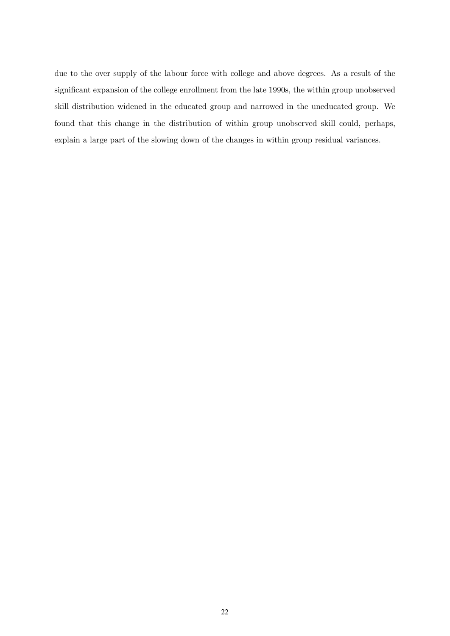due to the over supply of the labour force with college and above degrees. As a result of the significant expansion of the college enrollment from the late 1990s, the within group unobserved skill distribution widened in the educated group and narrowed in the uneducated group. We found that this change in the distribution of within group unobserved skill could, perhaps, explain a large part of the slowing down of the changes in within group residual variances.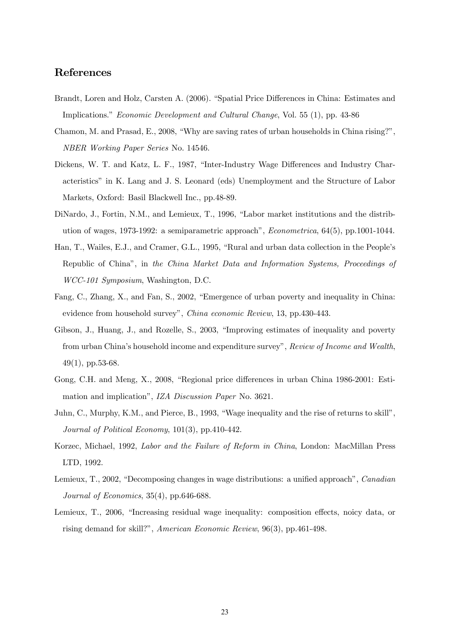### References

- Brandt, Loren and Holz, Carsten A. (2006). "Spatial Price Differences in China: Estimates and Implications." Economic Development and Cultural Change, Vol. 55 (1), pp. 43-86
- Chamon, M. and Prasad, E., 2008, "Why are saving rates of urban households in China rising?", NBER Working Paper Series No. 14546.
- Dickens, W. T. and Katz, L. F., 1987, "Inter-Industry Wage Differences and Industry Characteristics" in K. Lang and J. S. Leonard (eds) Unemployment and the Structure of Labor Markets, Oxford: Basil Blackwell Inc., pp.48-89.
- DiNardo, J., Fortin, N.M., and Lemieux, T., 1996, "Labor market institutions and the distribution of wages, 1973-1992: a semiparametric approach", Econometrica, 64(5), pp.1001-1044.
- Han, T., Wailes, E.J., and Cramer, G.L., 1995, "Rural and urban data collection in the People's Republic of China", in the China Market Data and Information Systems, Proceedings of WCC-101 Symposium, Washington, D.C.
- Fang, C., Zhang, X., and Fan, S., 2002, "Emergence of urban poverty and inequality in China: evidence from household survey", China economic Review, 13, pp.430-443.
- Gibson, J., Huang, J., and Rozelle, S., 2003, "Improving estimates of inequality and poverty from urban China's household income and expenditure survey", Review of Income and Wealth,  $49(1)$ , pp.53-68.
- Gong, C.H. and Meng, X., 2008, "Regional price differences in urban China 1986-2001: Estimation and implication", IZA Discussion Paper No. 3621.
- Juhn, C., Murphy, K.M., and Pierce, B., 1993, "Wage inequality and the rise of returns to skill", Journal of Political Economy, 101(3), pp.410-442.
- Korzec, Michael, 1992, Labor and the Failure of Reform in China, London: MacMillan Press LTD, 1992.
- Lemieux, T., 2002, "Decomposing changes in wage distributions: a unified approach", Canadian Journal of Economics, 35(4), pp.646-688.
- Lemieux, T., 2006, "Increasing residual wage inequality: composition effects, noicy data, or rising demand for skill?", American Economic Review, 96(3), pp.461-498.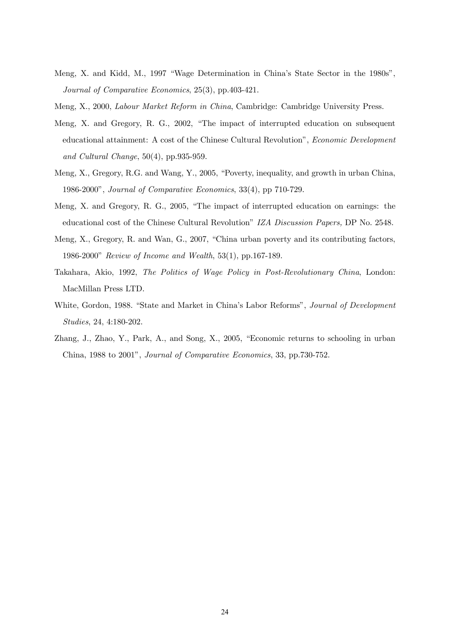- Meng, X. and Kidd, M., 1997 "Wage Determination in China's State Sector in the 1980s", Journal of Comparative Economics, 25(3), pp.403-421.
- Meng, X., 2000, Labour Market Reform in China, Cambridge: Cambridge University Press.
- Meng, X. and Gregory, R. G., 2002, "The impact of interrupted education on subsequent educational attainment: A cost of the Chinese Cultural Revolution", Economic Development and Cultural Change, 50(4), pp.935-959.
- Meng, X., Gregory, R.G. and Wang, Y., 2005, "Poverty, inequality, and growth in urban China, 1986-2000", Journal of Comparative Economics, 33(4), pp 710-729.
- Meng, X. and Gregory, R. G., 2005, "The impact of interrupted education on earnings: the educational cost of the Chinese Cultural Revolution" IZA Discussion Papers, DP No. 2548.
- Meng, X., Gregory, R. and Wan, G., 2007, "China urban poverty and its contributing factors, 1986-2000" Review of Income and Wealth, 53(1), pp.167-189.
- Takahara, Akio, 1992, The Politics of Wage Policy in Post-Revolutionary China, London: MacMillan Press LTD.
- White, Gordon, 1988. "State and Market in China's Labor Reforms", *Journal of Development* Studies, 24, 4:180-202.
- Zhang, J., Zhao, Y., Park, A., and Song, X., 2005, "Economic returns to schooling in urban China, 1988 to 2001", Journal of Comparative Economics, 33, pp.730-752.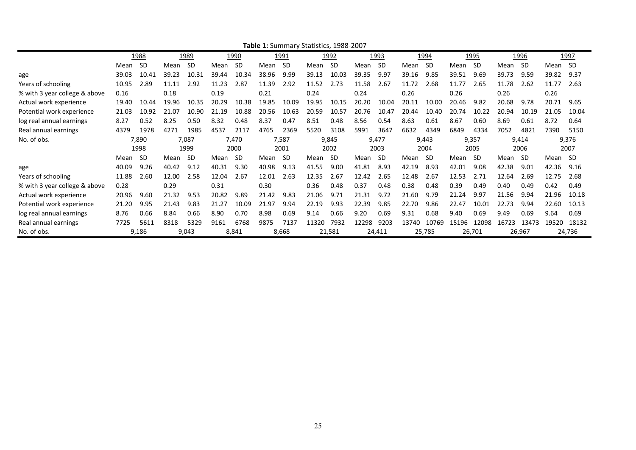| $\frac{1}{2}$                 |       |           |       |           |       |             |       |           |       |        |       |           |       |           |       |           |       |        |         |             |
|-------------------------------|-------|-----------|-------|-----------|-------|-------------|-------|-----------|-------|--------|-------|-----------|-------|-----------|-------|-----------|-------|--------|---------|-------------|
|                               |       | 1988      |       | 1989      |       | <u>1990</u> |       | 1991      |       | 1992   |       | 1993      |       | 1994      |       | 1995      |       | 1996   |         | <u>1997</u> |
|                               | Mean  | <b>SD</b> | Mean  | <b>SD</b> | Mean  | <b>SD</b>   | Mean  | <b>SD</b> | Mean  | -SD    | Mean  | <b>SD</b> | Mean  | <b>SD</b> | Mean  | <b>SD</b> | Mean  | -SD    | Mean SD |             |
| age                           | 39.03 | 10.41     | 39.23 | 10.31     | 39.44 | 10.34       | 38.96 | 9.99      | 39.13 | 10.03  | 39.35 | 9.97      | 39.16 | 9.85      | 39.51 | 9.69      | 39.73 | 9.59   | 39.82   | 9.37        |
| Years of schooling            | 10.95 | 2.89      | 11.11 | 2.92      | 11.23 | 2.87        | 11.39 | 2.92      | 11.52 | 2.73   | 11.58 | 2.67      | 11.72 | 2.68      | 11.77 | 2.65      | 11.78 | 2.62   | 11.77   | 2.63        |
| % with 3 year college & above | 0.16  |           | 0.18  |           | 0.19  |             | 0.21  |           | 0.24  |        | 0.24  |           | 0.26  |           | 0.26  |           | 0.26  |        | 0.26    |             |
| Actual work experience        | 19.40 | 10.44     | 19.96 | 10.35     | 20.29 | 10.38       | 19.85 | 10.09     | 19.95 | 10.15  | 20.20 | 10.04     | 20.11 | 10.00     | 20.46 | 9.82      | 20.68 | 9.78   | 20.71   | 9.65        |
| Potential work experience     | 21.03 | 10.92     | 21.07 | 10.90     | 21.19 | 10.88       | 20.56 | 10.63     | 20.59 | 10.57  | 20.76 | 10.47     | 20.44 | 10.40     | 20.74 | 10.22     | 20.94 | 10.19  | 21.05   | 10.04       |
| log real annual earnings      | 8.27  | 0.52      | 8.25  | 0.50      | 8.32  | 0.48        | 8.37  | 0.47      | 8.51  | 0.48   | 8.56  | 0.54      | 8.63  | 0.61      | 8.67  | 0.60      | 8.69  | 0.61   | 8.72    | 0.64        |
| Real annual earnings          | 4379  | 1978      | 4271  | 1985      | 4537  | 2117        | 4765  | 2369      | 5520  | 3108   | 5991  | 3647      | 6632  | 4349      | 6849  | 4334      | 7052  | 4821   | 7390    | 5150        |
| No. of obs.                   |       | 7,890     |       | 7,087     |       | 7,470       |       | 7,587     |       | 9,845  |       | 9,477     |       | 9,443     |       | 9,357     |       | 9,414  |         | 9,376       |
|                               |       | 1998      |       | 1999      |       | 2000        |       | 2001      |       | 2002   |       | 2003      |       | 2004      |       | 2005      |       | 2006   |         | 2007        |
|                               | Mean  | -SD       | Mean  | -SD       | Mean  | -SD         | Mean  | -SD       | Mean  | -SD    | Mean  | -SD       | Mean  | -SD       | Mean  | <b>SD</b> | Mean  | -SD    | Mean SD |             |
| age                           | 40.09 | 9.26      | 40.42 | 9.12      | 40.31 | 9.30        | 40.98 | 9.13      | 41.55 | 9.00   | 41.81 | 8.93      | 42.19 | 8.93      | 42.01 | 9.08      | 42.38 | 9.01   | 42.36   | 9.16        |
| Years of schooling            | 11.88 | 2.60      | 12.00 | 2.58      | 12.04 | 2.67        | 12.01 | 2.63      | 12.35 | 2.67   | 12.42 | 2.65      | 12.48 | 2.67      | 12.53 | 2.71      | 12.64 | 2.69   | 12.75   | 2.68        |
| % with 3 year college & above | 0.28  |           | 0.29  |           | 0.31  |             | 0.30  |           | 0.36  | 0.48   | 0.37  | 0.48      | 0.38  | 0.48      | 0.39  | 0.49      | 0.40  | 0.49   | 0.42    | 0.49        |
| Actual work experience        | 20.96 | 9.60      | 21.32 | 9.53      | 20.82 | 9.89        | 21.42 | 9.83      | 21.06 | 9.71   | 21.31 | 9.72      | 21.60 | 9.79      | 21.24 | 9.97      | 21.56 | 9.94   | 21.96   | 10.18       |
| Potential work experience     | 21.20 | 9.95      | 21.43 | 9.83      | 21.27 | 10.09       | 21.97 | 9.94      | 22.19 | 9.93   | 22.39 | 9.85      | 22.70 | 9.86      | 22.47 | 10.01     | 22.73 | 9.94   | 22.60   | 10.13       |
| log real annual earnings      | 8.76  | 0.66      | 8.84  | 0.66      | 8.90  | 0.70        | 8.98  | 0.69      | 9.14  | 0.66   | 9.20  | 0.69      | 9.31  | 0.68      | 9.40  | 0.69      | 9.49  | 0.69   | 9.64    | 0.69        |
| Real annual earnings          | 7725  | 5611      | 8318  | 5329      | 9161  | 6768        | 9875  | 7137      | 11320 | 7932   | 12298 | 9203      | 13740 | 10769     | 15196 | 12098     | 16723 | 13473  | 19520   | 18132       |
| No. of obs.                   |       | 9,186     |       | 9,043     |       | 8,841       |       | 8,668     |       | 21,581 |       | 24,411    |       | 25,785    |       | 26,701    |       | 26,967 |         | 24,736      |

**Table 1:** Summary Statistics, 1988‐2007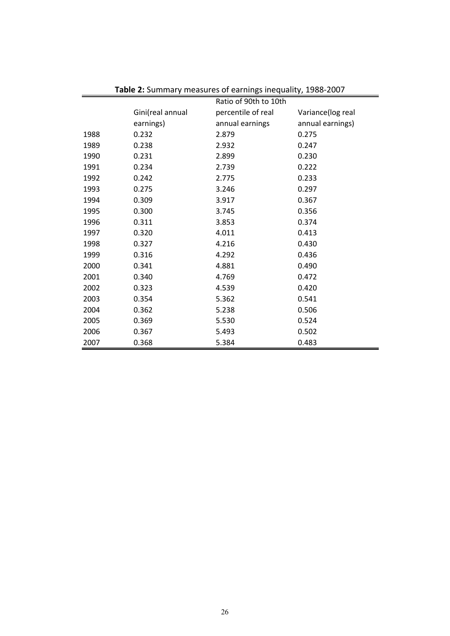|      |                  | 2. Julianuary incubated of carrings incquality, 1900 2007<br>Ratio of 90th to 10th |                   |
|------|------------------|------------------------------------------------------------------------------------|-------------------|
|      | Gini(real annual | percentile of real                                                                 | Variance(log real |
|      | earnings)        | annual earnings                                                                    | annual earnings)  |
| 1988 | 0.232            | 2.879                                                                              | 0.275             |
| 1989 | 0.238            | 2.932                                                                              | 0.247             |
| 1990 | 0.231            | 2.899                                                                              | 0.230             |
| 1991 | 0.234            | 2.739                                                                              | 0.222             |
| 1992 | 0.242            | 2.775                                                                              | 0.233             |
| 1993 | 0.275            | 3.246                                                                              | 0.297             |
| 1994 | 0.309            | 3.917                                                                              | 0.367             |
| 1995 | 0.300            | 3.745                                                                              | 0.356             |
| 1996 | 0.311            | 3.853                                                                              | 0.374             |
| 1997 | 0.320            | 4.011                                                                              | 0.413             |
| 1998 | 0.327            | 4.216                                                                              | 0.430             |
| 1999 | 0.316            | 4.292                                                                              | 0.436             |
| 2000 | 0.341            | 4.881                                                                              | 0.490             |
| 2001 | 0.340            | 4.769                                                                              | 0.472             |
| 2002 | 0.323            | 4.539                                                                              | 0.420             |
| 2003 | 0.354            | 5.362                                                                              | 0.541             |
| 2004 | 0.362            | 5.238                                                                              | 0.506             |
| 2005 | 0.369            | 5.530                                                                              | 0.524             |
| 2006 | 0.367            | 5.493                                                                              | 0.502             |
| 2007 | 0.368            | 5.384                                                                              | 0.483             |

**Table 2:** Summary measures of earnings inequality, 1988‐2007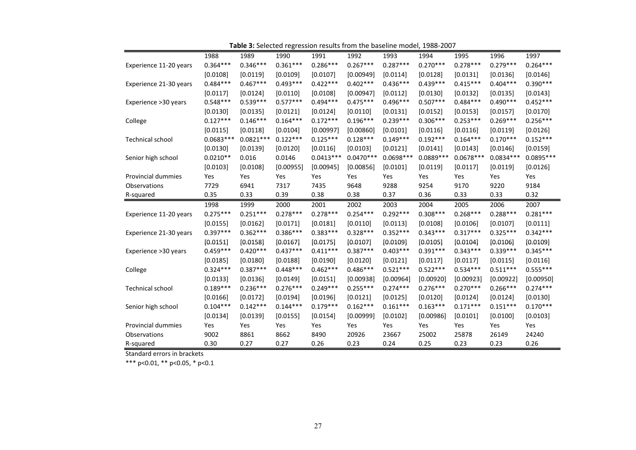|                           | 1988        | 1989        | 1990       | 1991        | 1992        | 1993        | 1994        | 1995        | 1996        | 1997        |
|---------------------------|-------------|-------------|------------|-------------|-------------|-------------|-------------|-------------|-------------|-------------|
| Experience 11-20 years    | $0.364***$  | $0.346***$  | $0.361***$ | $0.286***$  | $0.267***$  | $0.287***$  | $0.270***$  | $0.278***$  | $0.279***$  | $0.264***$  |
|                           | [0.0108]    | [0.0119]    | [0.0109]   | [0.0107]    | [0.00949]   | [0.0114]    | [0.0128]    | [0.0131]    | [0.0136]    | [0.0146]    |
| Experience 21-30 years    | $0.484***$  | $0.467***$  | $0.493***$ | $0.422***$  | $0.402***$  | $0.436***$  | $0.439***$  | $0.415***$  | $0.404***$  | $0.390***$  |
|                           | [0.0117]    | [0.0124]    | [0.0110]   | [0.0108]    | [0.00947]   | [0.0112]    | [0.0130]    | [0.0132]    | [0.0135]    | [0.0143]    |
| Experience >30 years      | $0.548***$  | $0.539***$  | $0.577***$ | $0.494***$  | $0.475***$  | $0.496***$  | $0.507***$  | $0.484***$  | $0.490***$  | $0.452***$  |
|                           | [0.0130]    | [0.0135]    | [0.0121]   | [0.0124]    | [0.0110]    | [0.0131]    | [0.0152]    | [0.0153]    | [0.0157]    | [0.0170]    |
| College                   | $0.127***$  | $0.146***$  | $0.164***$ | $0.172***$  | $0.196***$  | $0.239***$  | $0.306***$  | $0.253***$  | $0.269***$  | $0.256***$  |
|                           | [0.0115]    | [0.0118]    | [0.0104]   | [0.00997]   | [0.00860]   | [0.0101]    | [0.0116]    | [0.0116]    | [0.0119]    | [0.0126]    |
| Technical school          | $0.0683***$ | $0.0821***$ | $0.122***$ | $0.125***$  | $0.128***$  | $0.149***$  | $0.192***$  | $0.164***$  | $0.170***$  | $0.152***$  |
|                           | [0.0130]    | [0.0139]    | [0.0120]   | [0.0116]    | [0.0103]    | [0.0121]    | [0.0141]    | [0.0143]    | [0.0146]    | [0.0159]    |
| Senior high school        | $0.0210**$  | 0.016       | 0.0146     | $0.0413***$ | $0.0470***$ | $0.0698***$ | $0.0889***$ | $0.0678***$ | $0.0834***$ | $0.0895***$ |
|                           | [0.0103]    | [0.0108]    | [0.00955]  | [0.00945]   | [0.00856]   | [0.0101]    | [0.0119]    | [0.0117]    | [0.0119]    | [0.0126]    |
| <b>Provincial dummies</b> | Yes         | Yes         | Yes        | Yes         | Yes         | Yes         | Yes         | Yes         | Yes         | Yes         |
| Observations              | 7729        | 6941        | 7317       | 7435        | 9648        | 9288        | 9254        | 9170        | 9220        | 9184        |
| R-squared                 | 0.35        | 0.33        | 0.39       | 0.38        | 0.38        | 0.37        | 0.36        | 0.33        | 0.33        | 0.32        |
|                           |             |             |            |             |             |             |             |             |             |             |
|                           | 1998        | 1999        | 2000       | 2001        | 2002        | 2003        | 2004        | 2005        | 2006        | 2007        |
| Experience 11-20 years    | $0.275***$  | $0.251***$  | $0.278***$ | $0.278***$  | $0.254***$  | $0.292***$  | $0.308***$  | $0.268***$  | $0.288***$  | $0.281***$  |
|                           | [0.0155]    | [0.0162]    | [0.0171]   | [0.0181]    | [0.0110]    | [0.0113]    | [0.0108]    | [0.0106]    | [0.0107]    | [0.0111]    |
| Experience 21-30 years    | $0.397***$  | $0.362***$  | $0.386***$ | $0.383***$  | $0.328***$  | $0.352***$  | $0.343***$  | $0.317***$  | $0.325***$  | $0.342***$  |
|                           | [0.0151]    | [0.0158]    | [0.0167]   | [0.0175]    | [0.0107]    | [0.0109]    | [0.0105]    | [0.0104]    | [0.0106]    | [0.0109]    |
| Experience >30 years      | $0.459***$  | $0.420***$  | $0.437***$ | $0.411***$  | $0.387***$  | $0.403***$  | $0.391***$  | $0.343***$  | $0.339***$  | $0.345***$  |
|                           | [0.0185]    | [0.0180]    | [0.0188]   | [0.0190]    | [0.0120]    | [0.0121]    | [0.0117]    | [0.0117]    | [0.0115]    | [0.0116]    |
| College                   | $0.324***$  | $0.387***$  | $0.448***$ | $0.462***$  | $0.486***$  | $0.521***$  | $0.522***$  | $0.534***$  | $0.511***$  | $0.555***$  |
|                           | [0.0133]    | [0.0136]    | [0.0149]   | [0.0151]    | [0.00938]   | [0.00964]   | [0.00920]   | [0.00923]   | [0.00922]   | [0.00950]   |
| <b>Technical school</b>   | $0.189***$  | $0.236***$  | $0.276***$ | $0.249***$  | $0.255***$  | $0.274***$  | $0.276***$  | $0.270***$  | $0.266***$  | $0.274***$  |
|                           | [0.0166]    | [0.0172]    | [0.0194]   | [0.0196]    | [0.0121]    | [0.0125]    | [0.0120]    | [0.0124]    | [0.0124]    | [0.0130]    |
| Senior high school        | $0.104***$  | $0.142***$  | $0.144***$ | $0.179***$  | $0.162***$  | $0.161***$  | $0.163***$  | $0.171***$  | $0.151***$  | $0.170***$  |
|                           | [0.0134]    | [0.0139]    | [0.0155]   | [0.0154]    | [0.00999]   | [0.0102]    | [0.00986]   | [0.0101]    | [0.0100]    | [0.0103]    |
| <b>Provincial dummies</b> | Yes         | Yes         | Yes        | Yes         | Yes         | Yes         | Yes         | Yes         | Yes         | Yes         |
| Observations              | 9002        | 8861        | 8662       | 8490        | 20926       | 23667       | 25002       | 25878       | 26149       | 24240       |

**Table 3:** Selected regression results from the baseline model, 1988‐2007

Standard errors in brackets

\*\*\* p<0.01, \*\* p<0.05, \* p<0.1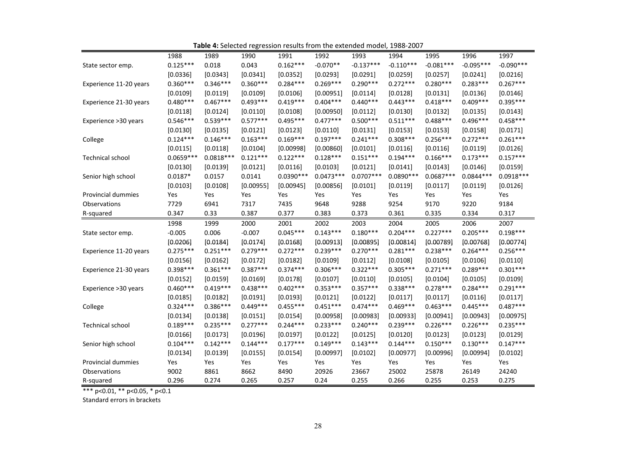|                        | 1988          | 1989          | 1990          | 1991          | 1992          | 1993           | 1994           | 1995           | 1996           | 1997           |
|------------------------|---------------|---------------|---------------|---------------|---------------|----------------|----------------|----------------|----------------|----------------|
| State sector emp.      | $0.125***$    | 0.018         | 0.043         | $0.162***$    | $-0.070**$    | $-0.137***$    | $-0.110***$    | $-0.081***$    | $-0.095***$    | $-0.090***$    |
|                        | [0.0336]      | [0.0343]      | [0.0341]      | [0.0352]      | [0.0293]      | [0.0291]       | [0.0259]       | [0.0257]       | [0.0241]       | [0.0216]       |
| Experience 11-20 years | $0.360***$    | $0.346***$    | $0.360***$    | $0.284***$    | $0.269***$    | $0.290***$     | $0.272***$     | $0.280***$     | $0.283***$     | $0.267***$     |
|                        | [0.0109]      | [0.0119]      | [0.0109]      | [0.0106]      | [0.00951]     | [0.0114]       | [0.0128]       | [0.0131]       | [0.0136]       | [0.0146]       |
| Experience 21-30 years | $0.480***$    | $0.467***$    | $0.493***$    | $0.419***$    | $0.404***$    | $0.440***$     | $0.443***$     | $0.418***$     | $0.409***$     | $0.395***$     |
|                        | [0.0118]      | [0.0124]      | [0.0110]      | [0.0108]      | [0.00950]     | [0.0112]       | [0.0130]       | [0.0132]       | [0.0135]       | [0.0143]       |
| Experience >30 years   | $0.546***$    | $0.539***$    | $0.577***$    | $0.495***$    | $0.477***$    | $0.500***$     | $0.511***$     | $0.488***$     | $0.496***$     | $0.458***$     |
|                        | [0.0130]      | [0.0135]      | [0.0121]      | [0.0123]      | [0.0110]      | [0.0131]       | [0.0153]       | [0.0153]       | [0.0158]       | [0.0171]       |
| College                | $0.124***$    | $0.146***$    | $0.163***$    | $0.169***$    | $0.197***$    | $0.241***$     | $0.308***$     | $0.256***$     | $0.272***$     | $0.261***$     |
|                        | [0.0115]      | [0.0118]      | [0.0104]      | [0.00998]     | [0.00860]     | [0.0101]       | [0.0116]       | [0.0116]       | [0.0119]       | [0.0126]       |
| Technical school       | $0.0659***$   | $0.0818***$   | $0.121***$    | $0.122***$    | $0.128***$    | $0.151***$     | $0.194***$     | $0.166***$     | $0.173***$     | $0.157***$     |
|                        | [0.0130]      | [0.0139]      | [0.0121]      | [0.0116]      | [0.0103]      | [0.0121]       | [0.0141]       | [0.0143]       | [0.0146]       | [0.0159]       |
| Senior high school     | $0.0187*$     | 0.0157        | 0.0141        | $0.0390***$   | $0.0473***$   | $0.0707***$    | $0.0890***$    | $0.0687***$    | $0.0844***$    | $0.0918***$    |
|                        | [0.0103]      | [0.0108]      | [0.00955]     | [0.00945]     | [0.00856]     | [0.0101]       | [0.0119]       | [0.0117]       | [0.0119]       | [0.0126]       |
| Provincial dummies     | Yes           | Yes           | Yes           | Yes           | Yes           | Yes            | Yes            | Yes            | Yes            | Yes            |
| <b>Observations</b>    | 7729          | 6941          | 7317          | 7435          | 9648          | 9288           | 9254           | 9170           | 9220           | 9184           |
| R-squared              | 0.347         | 0.33          | 0.387         | 0.377         | 0.383         | 0.373          | 0.361          | 0.335          | 0.334          | 0.317          |
|                        |               |               |               |               |               |                |                |                |                |                |
|                        | 1998          | 1999          | 2000          | 2001          | 2002          | 2003           | 2004           | 2005           | 2006           | 2007           |
| State sector emp.      | $-0.005$      | 0.006         | $-0.007$      | $0.045***$    | $0.143***$    | $0.180***$     | $0.204***$     | $0.227***$     | $0.205***$     | $0.198***$     |
|                        | [0.0206]      | [0.0184]      | [0.0174]      | [0.0168]      | [0.00913]     | [0.00895]      | [0.00814]      | [0.00789]      | [0.00768]      | [0.00774]      |
| Experience 11-20 years | $0.275***$    | $0.251***$    | $0.279***$    | $0.272***$    | $0.239***$    | $0.270***$     | $0.281***$     | $0.238***$     | $0.264***$     | $0.256***$     |
|                        | [0.0156]      | [0.0162]      | [0.0172]      | [0.0182]      | [0.0109]      | [0.0112]       | [0.0108]       | [0.0105]       | [0.0106]       | [0.0110]       |
| Experience 21-30 years | $0.398***$    | $0.361***$    | $0.387***$    | $0.374***$    | $0.306***$    | $0.322***$     | $0.305***$     | $0.271***$     | $0.289***$     | $0.301***$     |
|                        | [0.0152]      | [0.0159]      | [0.0169]      | [0.0178]      | [0.0107]      | [0.0110]       | [0.0105]       | [0.0104]       | [0.0105]       | [0.0109]       |
| Experience >30 years   | $0.460***$    | $0.419***$    | $0.438***$    | $0.402***$    | $0.353***$    | $0.357***$     | $0.338***$     | $0.278***$     | $0.284***$     | $0.291***$     |
|                        | [0.0185]      | [0.0182]      | [0.0191]      | [0.0193]      | [0.0121]      | [0.0122]       | [0.0117]       | [0.0117]       | [0.0116]       | [0.0117]       |
| College                | $0.324***$    | $0.386***$    | $0.449***$    | $0.455***$    | $0.451***$    | $0.474***$     | $0.469***$     | $0.463***$     | $0.445***$     | $0.487***$     |
|                        | [0.0134]      | [0.0138]      | [0.0151]      | [0.0154]      | [0.00958]     | [0.00983]      | [0.00933]      | [0.00941]      | [0.00943]      | [0.00975]      |
| Technical school       | $0.189***$    | $0.235***$    | $0.277***$    | $0.244***$    | $0.233***$    | $0.240***$     | $0.239***$     | $0.226***$     | $0.226***$     | $0.235***$     |
|                        | [0.0166]      | [0.0173]      | [0.0196]      | [0.0197]      | [0.0122]      | [0.0125]       | [0.0120]       | [0.0123]       | [0.0123]       | [0.0129]       |
| Senior high school     | $0.104***$    | $0.142***$    | $0.144***$    | $0.177***$    | $0.149***$    | $0.143***$     | $0.144***$     | $0.150***$     | $0.130***$     | $0.147***$     |
|                        | [0.0134]      | [0.0139]      | [0.0155]      | [0.0154]      | [0.00997]     | [0.0102]       | [0.00977]      | [0.00996]      | [0.00994]      | [0.0102]       |
| Provincial dummies     | Yes           | Yes           | Yes           | Yes           | Yes           | Yes            | Yes            | Yes            | Yes            | Yes            |
| Observations           | 9002<br>0.296 | 8861<br>0.274 | 8662<br>0.265 | 8490<br>0.257 | 20926<br>0.24 | 23667<br>0.255 | 25002<br>0.266 | 25878<br>0.255 | 26149<br>0.253 | 24240<br>0.275 |

**Table 4:** Selected regression results from the extended model, 1988‐2007

\*\*\* p<0.01, \*\* p<0.05, \* p<0.1

Standard errors in brackets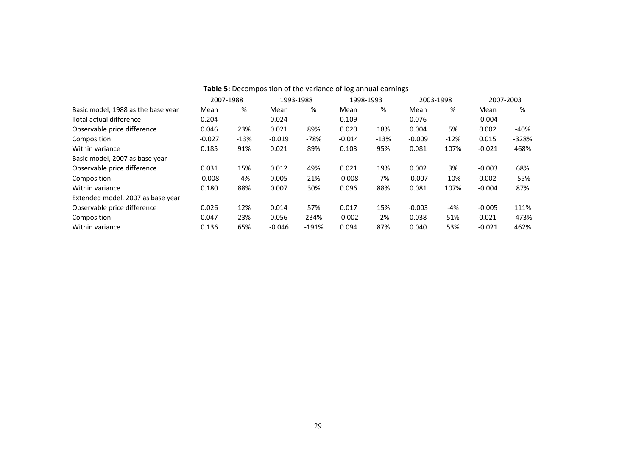|                                    |           |        |           |         | <b>Table 5:</b> Decomposition of the variance of log annual earnings |        |           |        |           |         |
|------------------------------------|-----------|--------|-----------|---------|----------------------------------------------------------------------|--------|-----------|--------|-----------|---------|
|                                    | 2007-1988 |        | 1993-1988 |         | 1998-1993                                                            |        | 2003-1998 |        | 2007-2003 |         |
| Basic model, 1988 as the base year | Mean      | %      | Mean      | %       | Mean                                                                 | %      | Mean      | %      | Mean      | %       |
| Total actual difference            | 0.204     |        | 0.024     |         | 0.109                                                                |        | 0.076     |        | $-0.004$  |         |
| Observable price difference        | 0.046     | 23%    | 0.021     | 89%     | 0.020                                                                | 18%    | 0.004     | 5%     | 0.002     | -40%    |
| Composition                        | $-0.027$  | $-13%$ | $-0.019$  | -78%    | $-0.014$                                                             | $-13%$ | $-0.009$  | $-12%$ | 0.015     | $-328%$ |
| Within variance                    | 0.185     | 91%    | 0.021     | 89%     | 0.103                                                                | 95%    | 0.081     | 107%   | $-0.021$  | 468%    |
| Basic model, 2007 as base year     |           |        |           |         |                                                                      |        |           |        |           |         |
| Observable price difference        | 0.031     | 15%    | 0.012     | 49%     | 0.021                                                                | 19%    | 0.002     | 3%     | $-0.003$  | 68%     |
| Composition                        | $-0.008$  | $-4%$  | 0.005     | 21%     | $-0.008$                                                             | $-7%$  | $-0.007$  | $-10%$ | 0.002     | $-55%$  |
| Within variance                    | 0.180     | 88%    | 0.007     | 30%     | 0.096                                                                | 88%    | 0.081     | 107%   | $-0.004$  | 87%     |
| Extended model, 2007 as base year  |           |        |           |         |                                                                      |        |           |        |           |         |
| Observable price difference        | 0.026     | 12%    | 0.014     | 57%     | 0.017                                                                | 15%    | $-0.003$  | $-4%$  | $-0.005$  | 111%    |
| Composition                        | 0.047     | 23%    | 0.056     | 234%    | $-0.002$                                                             | $-2%$  | 0.038     | 51%    | 0.021     | $-473%$ |
| Within variance                    | 0.136     | 65%    | $-0.046$  | $-191%$ | 0.094                                                                | 87%    | 0.040     | 53%    | $-0.021$  | 462%    |

| <b>Table 5:</b> Decomposition of the variance of log annual earnings |  |  |
|----------------------------------------------------------------------|--|--|
|                                                                      |  |  |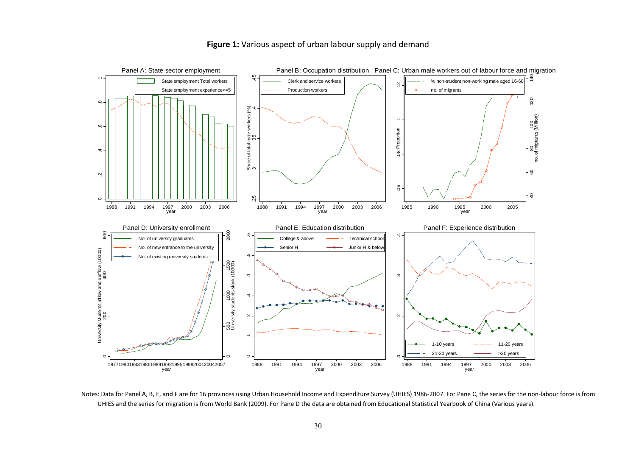

**Figure 1:** Various aspect of urban labour supply and demand

Notes: Data for Panel A, B, E, and F are for 16 provinces using Urban Household Income and Expenditure Survey (UHIES) 1986‐2007. For Pane C, the series for the non‐labour force is from UHIES and the series for migration is from World Bank (2009). For Pane D the data are obtained from Educational Statistical Yearbook of China (Various years).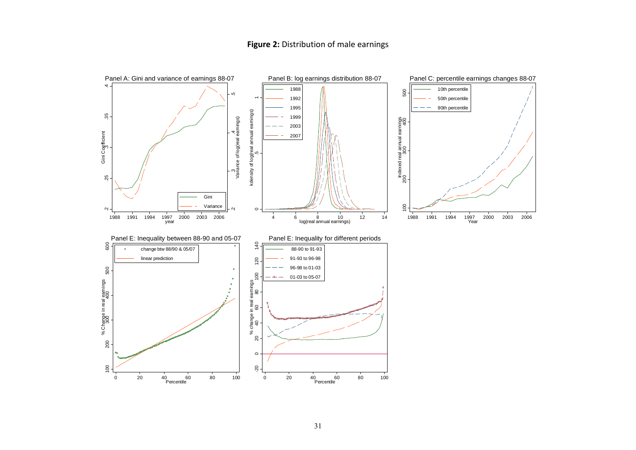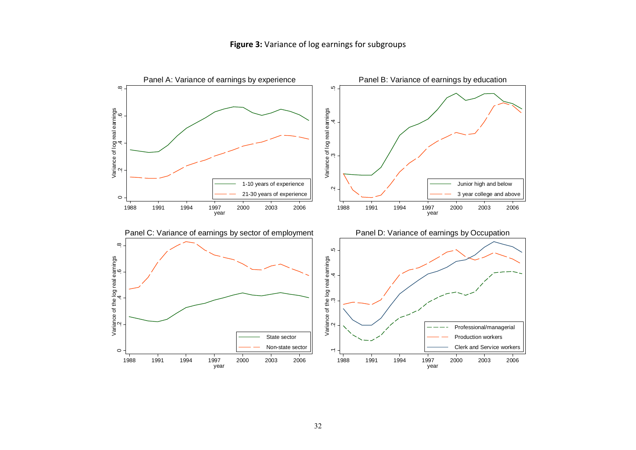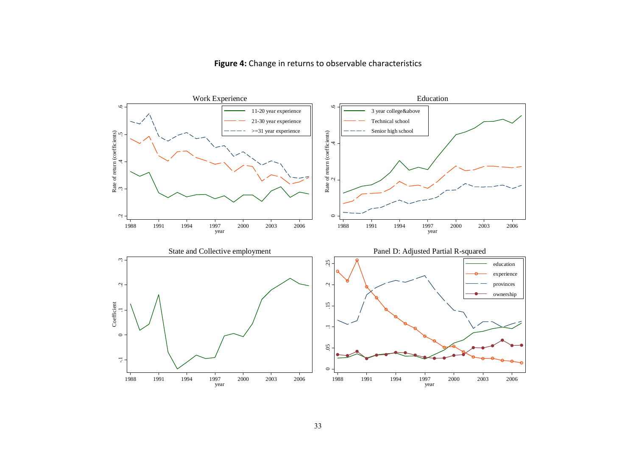

# **Figure 4:** Change in returns to observable characteristics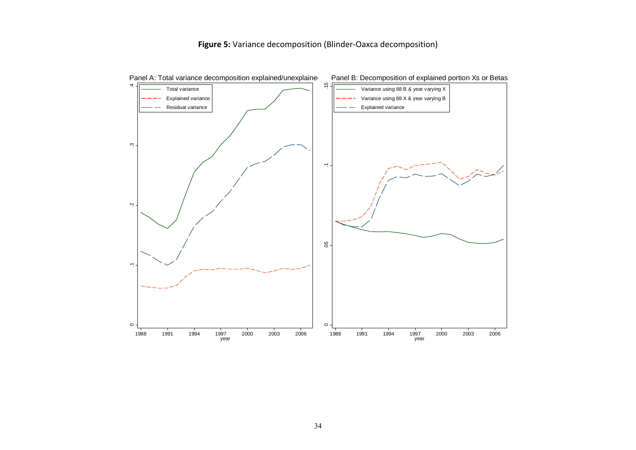# **Figure 5:** Variance decomposition (Blinder‐Oaxca decomposition)

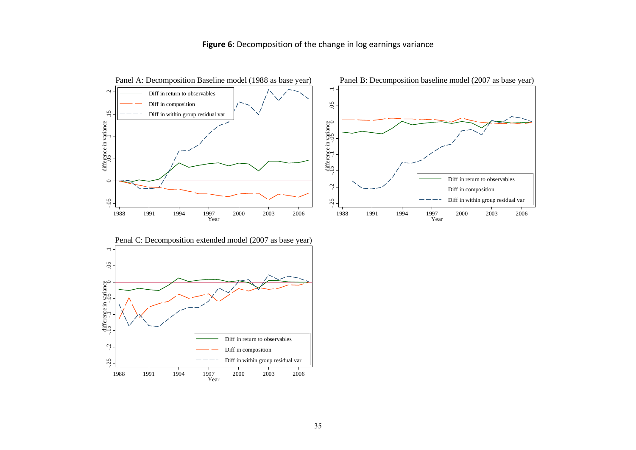

**Figure 6:** Decomposition of the change in log earnings variance

1988

1991 1994 1997 2000 2003 2006 Year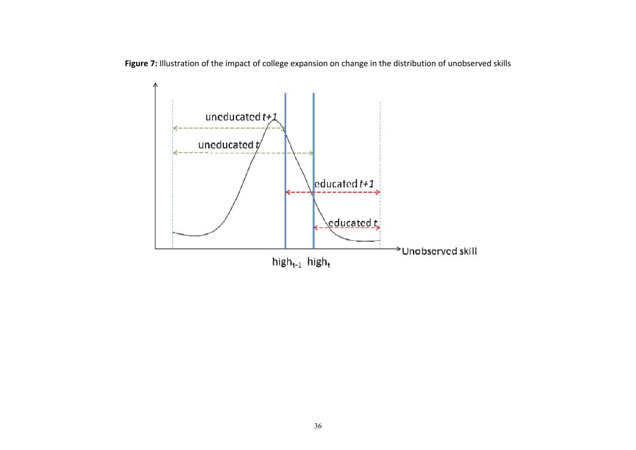**Figure 7:** Illustration of the impact of college expansion on change in the distribution of unobserved skills

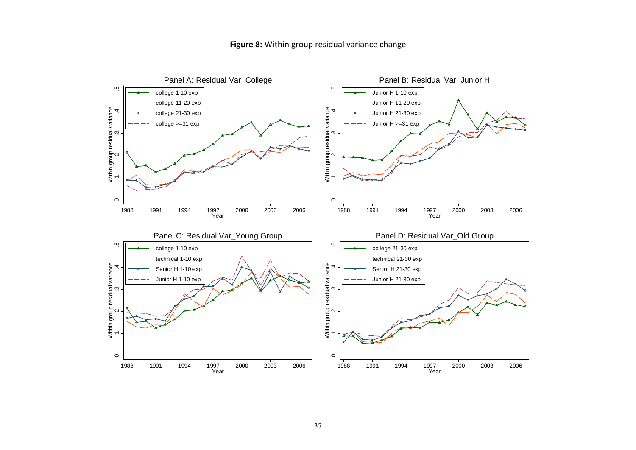# **Figure 8:** Within group residual variance change

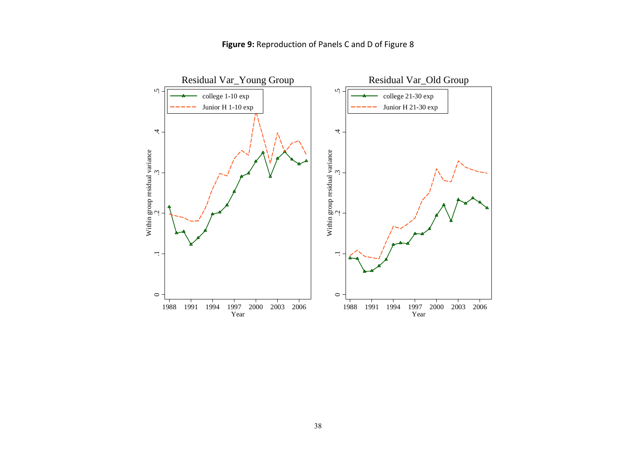

# **Figure 9:** Reproduction of Panels C and D of Figure 8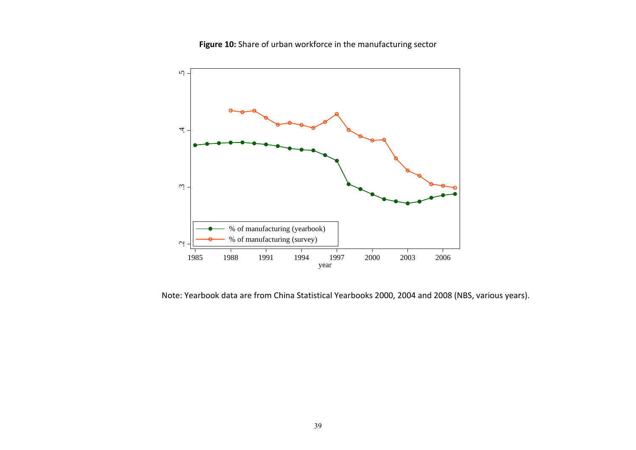**Figure 10:** Share of urban workforce in the manufacturing sector



Note: Yearbook data are from China Statistical Yearbooks 2000, 2004 and 2008 (NBS, various years).